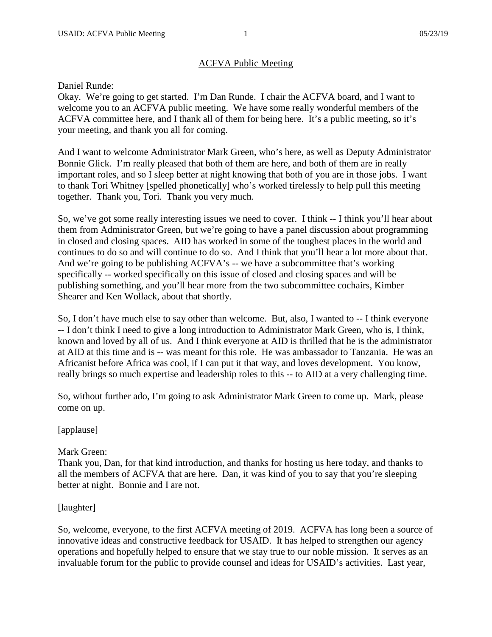# ACFVA Public Meeting

## Daniel Runde:

Okay. We're going to get started. I'm Dan Runde. I chair the ACFVA board, and I want to welcome you to an ACFVA public meeting. We have some really wonderful members of the ACFVA committee here, and I thank all of them for being here. It's a public meeting, so it's your meeting, and thank you all for coming.

And I want to welcome Administrator Mark Green, who's here, as well as Deputy Administrator Bonnie Glick. I'm really pleased that both of them are here, and both of them are in really important roles, and so I sleep better at night knowing that both of you are in those jobs. I want to thank Tori Whitney [spelled phonetically] who's worked tirelessly to help pull this meeting together. Thank you, Tori. Thank you very much.

So, we've got some really interesting issues we need to cover. I think  $-1$  think you'll hear about them from Administrator Green, but we're going to have a panel discussion about programming in closed and closing spaces. AID has worked in some of the toughest places in the world and continues to do so and will continue to do so. And I think that you'll hear a lot more about that. And we're going to be publishing ACFVA's -- we have a subcommittee that's working specifically -- worked specifically on this issue of closed and closing spaces and will be publishing something, and you'll hear more from the two subcommittee cochairs, Kimber Shearer and Ken Wollack, about that shortly.

So, I don't have much else to say other than welcome. But, also, I wanted to -- I think everyone -- I don't think I need to give a long introduction to Administrator Mark Green, who is, I think, known and loved by all of us. And I think everyone at AID is thrilled that he is the administrator at AID at this time and is -- was meant for this role. He was ambassador to Tanzania. He was an Africanist before Africa was cool, if I can put it that way, and loves development. You know, really brings so much expertise and leadership roles to this -- to AID at a very challenging time.

So, without further ado, I'm going to ask Administrator Mark Green to come up. Mark, please come on up.

# [applause]

# Mark Green:

Thank you, Dan, for that kind introduction, and thanks for hosting us here today, and thanks to all the members of ACFVA that are here. Dan, it was kind of you to say that you're sleeping better at night. Bonnie and I are not.

# [laughter]

So, welcome, everyone, to the first ACFVA meeting of 2019. ACFVA has long been a source of innovative ideas and constructive feedback for USAID. It has helped to strengthen our agency operations and hopefully helped to ensure that we stay true to our noble mission. It serves as an invaluable forum for the public to provide counsel and ideas for USAID's activities. Last year,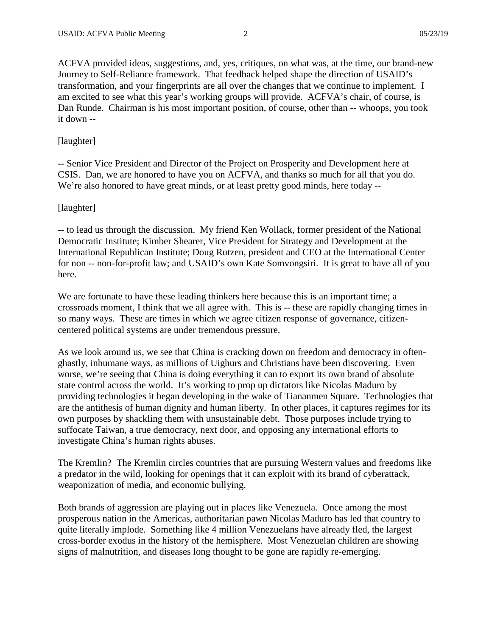ACFVA provided ideas, suggestions, and, yes, critiques, on what was, at the time, our brand-new Journey to Self-Reliance framework. That feedback helped shape the direction of USAID's transformation, and your fingerprints are all over the changes that we continue to implement. I am excited to see what this year's working groups will provide. ACFVA's chair, of course, is Dan Runde. Chairman is his most important position, of course, other than -- whoops, you took it down --

### [laughter]

-- Senior Vice President and Director of the Project on Prosperity and Development here at CSIS. Dan, we are honored to have you on ACFVA, and thanks so much for all that you do. We're also honored to have great minds, or at least pretty good minds, here today --

### [laughter]

-- to lead us through the discussion. My friend Ken Wollack, former president of the National Democratic Institute; Kimber Shearer, Vice President for Strategy and Development at the International Republican Institute; Doug Rutzen, president and CEO at the International Center for non -- non-for-profit law; and USAID's own Kate Somvongsiri. It is great to have all of you here.

We are fortunate to have these leading thinkers here because this is an important time; a crossroads moment, I think that we all agree with. This is -- these are rapidly changing times in so many ways. These are times in which we agree citizen response of governance, citizencentered political systems are under tremendous pressure.

As we look around us, we see that China is cracking down on freedom and democracy in oftenghastly, inhumane ways, as millions of Uighurs and Christians have been discovering. Even worse, we're seeing that China is doing everything it can to export its own brand of absolute state control across the world. It's working to prop up dictators like Nicolas Maduro by providing technologies it began developing in the wake of Tiananmen Square. Technologies that are the antithesis of human dignity and human liberty. In other places, it captures regimes for its own purposes by shackling them with unsustainable debt. Those purposes include trying to suffocate Taiwan, a true democracy, next door, and opposing any international efforts to investigate China's human rights abuses.

The Kremlin? The Kremlin circles countries that are pursuing Western values and freedoms like a predator in the wild, looking for openings that it can exploit with its brand of cyberattack, weaponization of media, and economic bullying.

Both brands of aggression are playing out in places like Venezuela. Once among the most prosperous nation in the Americas, authoritarian pawn Nicolas Maduro has led that country to quite literally implode. Something like 4 million Venezuelans have already fled, the largest cross-border exodus in the history of the hemisphere. Most Venezuelan children are showing signs of malnutrition, and diseases long thought to be gone are rapidly re-emerging.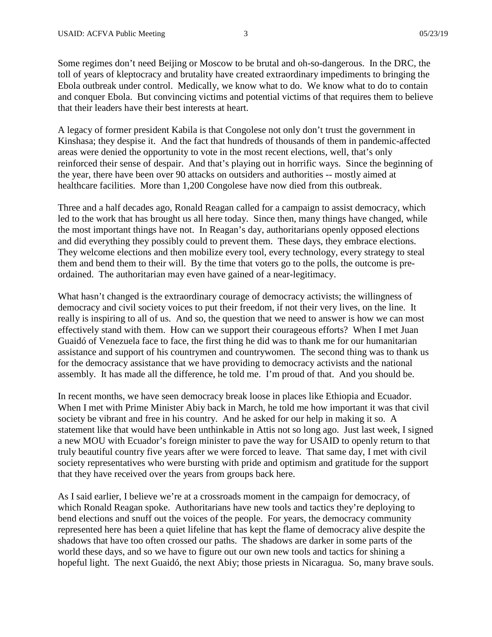Some regimes don't need Beijing or Moscow to be brutal and oh-so-dangerous. In the DRC, the toll of years of kleptocracy and brutality have created extraordinary impediments to bringing the Ebola outbreak under control. Medically, we know what to do. We know what to do to contain and conquer Ebola. But convincing victims and potential victims of that requires them to believe that their leaders have their best interests at heart.

A legacy of former president Kabila is that Congolese not only don't trust the government in Kinshasa; they despise it. And the fact that hundreds of thousands of them in pandemic-affected areas were denied the opportunity to vote in the most recent elections, well, that's only reinforced their sense of despair. And that's playing out in horrific ways. Since the beginning of the year, there have been over 90 attacks on outsiders and authorities -- mostly aimed at healthcare facilities. More than 1,200 Congolese have now died from this outbreak.

Three and a half decades ago, Ronald Reagan called for a campaign to assist democracy, which led to the work that has brought us all here today. Since then, many things have changed, while the most important things have not. In Reagan's day, authoritarians openly opposed elections and did everything they possibly could to prevent them. These days, they embrace elections. They welcome elections and then mobilize every tool, every technology, every strategy to steal them and bend them to their will. By the time that voters go to the polls, the outcome is preordained. The authoritarian may even have gained of a near-legitimacy.

What hasn't changed is the extraordinary courage of democracy activists; the willingness of democracy and civil society voices to put their freedom, if not their very lives, on the line. It really is inspiring to all of us. And so, the question that we need to answer is how we can most effectively stand with them. How can we support their courageous efforts? When I met Juan Guaidó of Venezuela face to face, the first thing he did was to thank me for our humanitarian assistance and support of his countrymen and countrywomen. The second thing was to thank us for the democracy assistance that we have providing to democracy activists and the national assembly. It has made all the difference, he told me. I'm proud of that. And you should be.

In recent months, we have seen democracy break loose in places like Ethiopia and Ecuador. When I met with Prime Minister Abiy back in March, he told me how important it was that civil society be vibrant and free in his country. And he asked for our help in making it so. A statement like that would have been unthinkable in Attis not so long ago. Just last week, I signed a new MOU with Ecuador's foreign minister to pave the way for USAID to openly return to that truly beautiful country five years after we were forced to leave. That same day, I met with civil society representatives who were bursting with pride and optimism and gratitude for the support that they have received over the years from groups back here.

As I said earlier, I believe we're at a crossroads moment in the campaign for democracy, of which Ronald Reagan spoke. Authoritarians have new tools and tactics they're deploying to bend elections and snuff out the voices of the people. For years, the democracy community represented here has been a quiet lifeline that has kept the flame of democracy alive despite the shadows that have too often crossed our paths. The shadows are darker in some parts of the world these days, and so we have to figure out our own new tools and tactics for shining a hopeful light. The next Guaidó, the next Abiy; those priests in Nicaragua. So, many brave souls.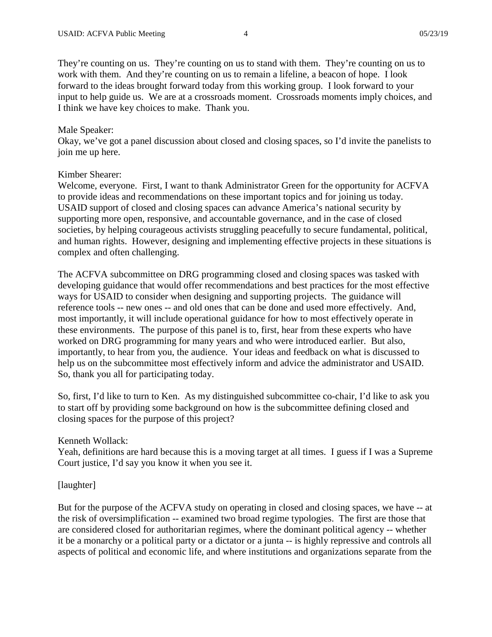They're counting on us. They're counting on us to stand with them. They're counting on us to work with them. And they're counting on us to remain a lifeline, a beacon of hope. I look forward to the ideas brought forward today from this working group. I look forward to your input to help guide us. We are at a crossroads moment. Crossroads moments imply choices, and I think we have key choices to make. Thank you.

### Male Speaker:

Okay, we've got a panel discussion about closed and closing spaces, so I'd invite the panelists to join me up here.

#### Kimber Shearer:

Welcome, everyone. First, I want to thank Administrator Green for the opportunity for ACFVA to provide ideas and recommendations on these important topics and for joining us today. USAID support of closed and closing spaces can advance America's national security by supporting more open, responsive, and accountable governance, and in the case of closed societies, by helping courageous activists struggling peacefully to secure fundamental, political, and human rights. However, designing and implementing effective projects in these situations is complex and often challenging.

The ACFVA subcommittee on DRG programming closed and closing spaces was tasked with developing guidance that would offer recommendations and best practices for the most effective ways for USAID to consider when designing and supporting projects. The guidance will reference tools -- new ones -- and old ones that can be done and used more effectively. And, most importantly, it will include operational guidance for how to most effectively operate in these environments. The purpose of this panel is to, first, hear from these experts who have worked on DRG programming for many years and who were introduced earlier. But also, importantly, to hear from you, the audience. Your ideas and feedback on what is discussed to help us on the subcommittee most effectively inform and advice the administrator and USAID. So, thank you all for participating today.

So, first, I'd like to turn to Ken. As my distinguished subcommittee co-chair, I'd like to ask you to start off by providing some background on how is the subcommittee defining closed and closing spaces for the purpose of this project?

#### Kenneth Wollack:

Yeah, definitions are hard because this is a moving target at all times. I guess if I was a Supreme Court justice, I'd say you know it when you see it.

#### [laughter]

But for the purpose of the ACFVA study on operating in closed and closing spaces, we have -- at the risk of oversimplification -- examined two broad regime typologies. The first are those that are considered closed for authoritarian regimes, where the dominant political agency -- whether it be a monarchy or a political party or a dictator or a junta -- is highly repressive and controls all aspects of political and economic life, and where institutions and organizations separate from the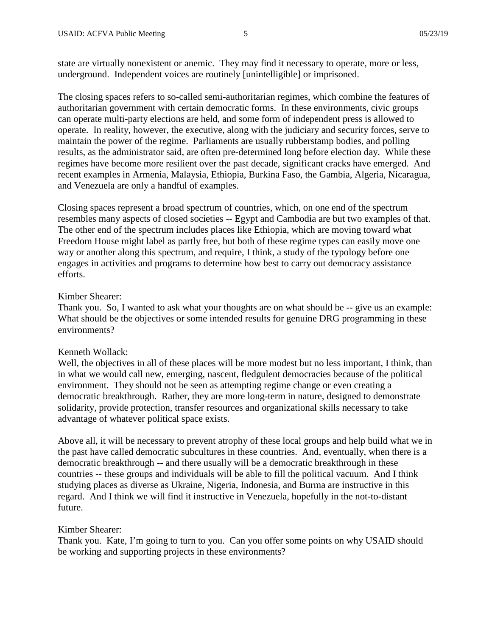state are virtually nonexistent or anemic. They may find it necessary to operate, more or less, underground. Independent voices are routinely [unintelligible] or imprisoned.

The closing spaces refers to so-called semi-authoritarian regimes, which combine the features of authoritarian government with certain democratic forms. In these environments, civic groups can operate multi-party elections are held, and some form of independent press is allowed to operate. In reality, however, the executive, along with the judiciary and security forces, serve to maintain the power of the regime. Parliaments are usually rubberstamp bodies, and polling results, as the administrator said, are often pre-determined long before election day. While these regimes have become more resilient over the past decade, significant cracks have emerged. And recent examples in Armenia, Malaysia, Ethiopia, Burkina Faso, the Gambia, Algeria, Nicaragua, and Venezuela are only a handful of examples.

Closing spaces represent a broad spectrum of countries, which, on one end of the spectrum resembles many aspects of closed societies -- Egypt and Cambodia are but two examples of that. The other end of the spectrum includes places like Ethiopia, which are moving toward what Freedom House might label as partly free, but both of these regime types can easily move one way or another along this spectrum, and require, I think, a study of the typology before one engages in activities and programs to determine how best to carry out democracy assistance efforts.

### Kimber Shearer:

Thank you. So, I wanted to ask what your thoughts are on what should be -- give us an example: What should be the objectives or some intended results for genuine DRG programming in these environments?

#### Kenneth Wollack:

Well, the objectives in all of these places will be more modest but no less important, I think, than in what we would call new, emerging, nascent, fledgulent democracies because of the political environment. They should not be seen as attempting regime change or even creating a democratic breakthrough. Rather, they are more long-term in nature, designed to demonstrate solidarity, provide protection, transfer resources and organizational skills necessary to take advantage of whatever political space exists.

Above all, it will be necessary to prevent atrophy of these local groups and help build what we in the past have called democratic subcultures in these countries. And, eventually, when there is a democratic breakthrough -- and there usually will be a democratic breakthrough in these countries -- these groups and individuals will be able to fill the political vacuum. And I think studying places as diverse as Ukraine, Nigeria, Indonesia, and Burma are instructive in this regard. And I think we will find it instructive in Venezuela, hopefully in the not-to-distant future.

#### Kimber Shearer:

Thank you. Kate, I'm going to turn to you. Can you offer some points on why USAID should be working and supporting projects in these environments?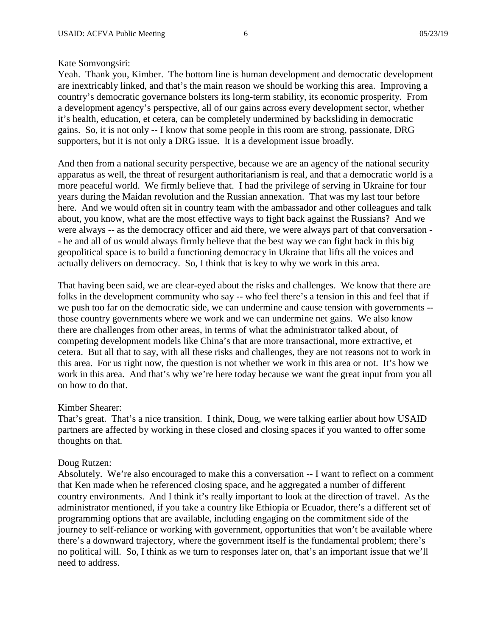### Kate Somvongsiri:

Yeah. Thank you, Kimber. The bottom line is human development and democratic development are inextricably linked, and that's the main reason we should be working this area. Improving a country's democratic governance bolsters its long-term stability, its economic prosperity. From a development agency's perspective, all of our gains across every development sector, whether it's health, education, et cetera, can be completely undermined by backsliding in democratic gains. So, it is not only -- I know that some people in this room are strong, passionate, DRG supporters, but it is not only a DRG issue. It is a development issue broadly.

And then from a national security perspective, because we are an agency of the national security apparatus as well, the threat of resurgent authoritarianism is real, and that a democratic world is a more peaceful world. We firmly believe that. I had the privilege of serving in Ukraine for four years during the Maidan revolution and the Russian annexation. That was my last tour before here. And we would often sit in country team with the ambassador and other colleagues and talk about, you know, what are the most effective ways to fight back against the Russians? And we were always -- as the democracy officer and aid there, we were always part of that conversation - - he and all of us would always firmly believe that the best way we can fight back in this big geopolitical space is to build a functioning democracy in Ukraine that lifts all the voices and actually delivers on democracy. So, I think that is key to why we work in this area.

That having been said, we are clear-eyed about the risks and challenges. We know that there are folks in the development community who say -- who feel there's a tension in this and feel that if we push too far on the democratic side, we can undermine and cause tension with governments - those country governments where we work and we can undermine net gains. We also know there are challenges from other areas, in terms of what the administrator talked about, of competing development models like China's that are more transactional, more extractive, et cetera. But all that to say, with all these risks and challenges, they are not reasons not to work in this area. For us right now, the question is not whether we work in this area or not. It's how we work in this area. And that's why we're here today because we want the great input from you all on how to do that.

### Kimber Shearer:

That's great. That's a nice transition. I think, Doug, we were talking earlier about how USAID partners are affected by working in these closed and closing spaces if you wanted to offer some thoughts on that.

### Doug Rutzen:

Absolutely. We're also encouraged to make this a conversation -- I want to reflect on a comment that Ken made when he referenced closing space, and he aggregated a number of different country environments. And I think it's really important to look at the direction of travel. As the administrator mentioned, if you take a country like Ethiopia or Ecuador, there's a different set of programming options that are available, including engaging on the commitment side of the journey to self-reliance or working with government, opportunities that won't be available where there's a downward trajectory, where the government itself is the fundamental problem; there's no political will. So, I think as we turn to responses later on, that's an important issue that we'll need to address.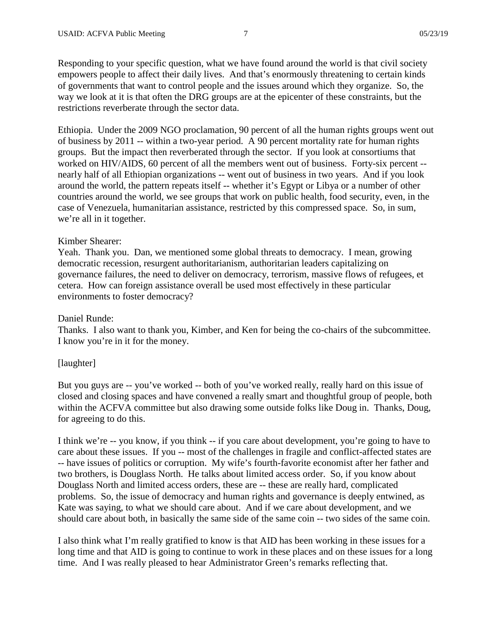Responding to your specific question, what we have found around the world is that civil society empowers people to affect their daily lives. And that's enormously threatening to certain kinds of governments that want to control people and the issues around which they organize. So, the way we look at it is that often the DRG groups are at the epicenter of these constraints, but the restrictions reverberate through the sector data.

Ethiopia. Under the 2009 NGO proclamation, 90 percent of all the human rights groups went out of business by 2011 -- within a two-year period. A 90 percent mortality rate for human rights groups. But the impact then reverberated through the sector. If you look at consortiums that worked on HIV/AIDS, 60 percent of all the members went out of business. Forty-six percent - nearly half of all Ethiopian organizations -- went out of business in two years. And if you look around the world, the pattern repeats itself -- whether it's Egypt or Libya or a number of other countries around the world, we see groups that work on public health, food security, even, in the case of Venezuela, humanitarian assistance, restricted by this compressed space. So, in sum, we're all in it together.

### Kimber Shearer:

Yeah. Thank you. Dan, we mentioned some global threats to democracy. I mean, growing democratic recession, resurgent authoritarianism, authoritarian leaders capitalizing on governance failures, the need to deliver on democracy, terrorism, massive flows of refugees, et cetera. How can foreign assistance overall be used most effectively in these particular environments to foster democracy?

#### Daniel Runde:

Thanks. I also want to thank you, Kimber, and Ken for being the co-chairs of the subcommittee. I know you're in it for the money.

### [laughter]

But you guys are -- you've worked -- both of you've worked really, really hard on this issue of closed and closing spaces and have convened a really smart and thoughtful group of people, both within the ACFVA committee but also drawing some outside folks like Doug in. Thanks, Doug, for agreeing to do this.

I think we're -- you know, if you think -- if you care about development, you're going to have to care about these issues. If you -- most of the challenges in fragile and conflict-affected states are -- have issues of politics or corruption. My wife's fourth-favorite economist after her father and two brothers, is Douglass North. He talks about limited access order. So, if you know about Douglass North and limited access orders, these are -- these are really hard, complicated problems. So, the issue of democracy and human rights and governance is deeply entwined, as Kate was saying, to what we should care about. And if we care about development, and we should care about both, in basically the same side of the same coin -- two sides of the same coin.

I also think what I'm really gratified to know is that AID has been working in these issues for a long time and that AID is going to continue to work in these places and on these issues for a long time. And I was really pleased to hear Administrator Green's remarks reflecting that.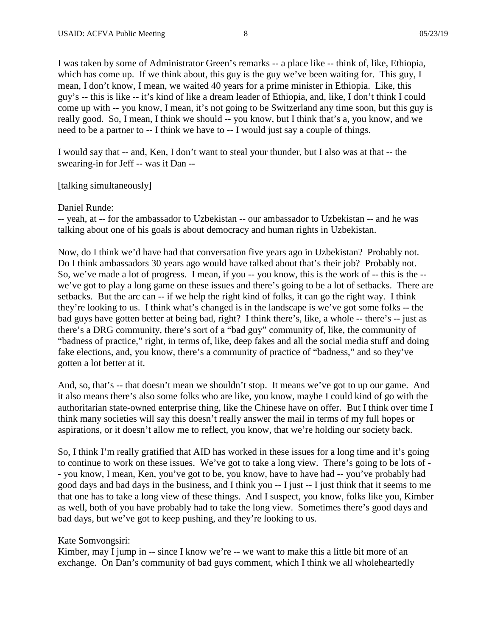I was taken by some of Administrator Green's remarks -- a place like -- think of, like, Ethiopia, which has come up. If we think about, this guy is the guy we've been waiting for. This guy, I mean, I don't know, I mean, we waited 40 years for a prime minister in Ethiopia. Like, this guy's -- this is like -- it's kind of like a dream leader of Ethiopia, and, like, I don't think I could come up with -- you know, I mean, it's not going to be Switzerland any time soon, but this guy is really good. So, I mean, I think we should -- you know, but I think that's a, you know, and we need to be a partner to -- I think we have to -- I would just say a couple of things.

I would say that -- and, Ken, I don't want to steal your thunder, but I also was at that -- the swearing-in for Jeff -- was it Dan --

[talking simultaneously]

Daniel Runde:

-- yeah, at -- for the ambassador to Uzbekistan -- our ambassador to Uzbekistan -- and he was talking about one of his goals is about democracy and human rights in Uzbekistan.

Now, do I think we'd have had that conversation five years ago in Uzbekistan? Probably not. Do I think ambassadors 30 years ago would have talked about that's their job? Probably not. So, we've made a lot of progress. I mean, if you -- you know, this is the work of -- this is the -we've got to play a long game on these issues and there's going to be a lot of setbacks. There are setbacks. But the arc can -- if we help the right kind of folks, it can go the right way. I think they're looking to us. I think what's changed is in the landscape is we've got some folks -- the bad guys have gotten better at being bad, right? I think there's, like, a whole -- there's -- just as there's a DRG community, there's sort of a "bad guy" community of, like, the community of "badness of practice," right, in terms of, like, deep fakes and all the social media stuff and doing fake elections, and, you know, there's a community of practice of "badness," and so they've gotten a lot better at it.

And, so, that's -- that doesn't mean we shouldn't stop. It means we've got to up our game. And it also means there's also some folks who are like, you know, maybe I could kind of go with the authoritarian state-owned enterprise thing, like the Chinese have on offer. But I think over time I think many societies will say this doesn't really answer the mail in terms of my full hopes or aspirations, or it doesn't allow me to reflect, you know, that we're holding our society back.

So, I think I'm really gratified that AID has worked in these issues for a long time and it's going to continue to work on these issues. We've got to take a long view. There's going to be lots of - - you know, I mean, Ken, you've got to be, you know, have to have had -- you've probably had good days and bad days in the business, and I think you -- I just -- I just think that it seems to me that one has to take a long view of these things. And I suspect, you know, folks like you, Kimber as well, both of you have probably had to take the long view. Sometimes there's good days and bad days, but we've got to keep pushing, and they're looking to us.

Kate Somvongsiri:

Kimber, may I jump in -- since I know we're -- we want to make this a little bit more of an exchange. On Dan's community of bad guys comment, which I think we all wholeheartedly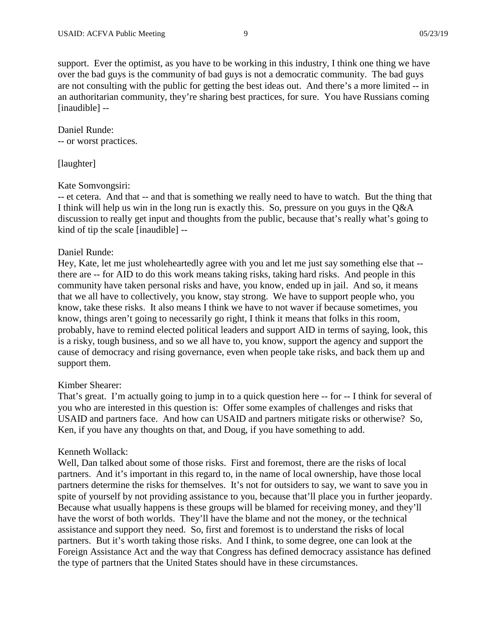support. Ever the optimist, as you have to be working in this industry, I think one thing we have over the bad guys is the community of bad guys is not a democratic community. The bad guys are not consulting with the public for getting the best ideas out. And there's a more limited -- in an authoritarian community, they're sharing best practices, for sure. You have Russians coming [inaudible] --

Daniel Runde: -- or worst practices.

[laughter]

## Kate Somvongsiri:

-- et cetera. And that -- and that is something we really need to have to watch. But the thing that I think will help us win in the long run is exactly this. So, pressure on you guys in the Q&A discussion to really get input and thoughts from the public, because that's really what's going to kind of tip the scale [inaudible] --

## Daniel Runde:

Hey, Kate, let me just wholeheartedly agree with you and let me just say something else that - there are -- for AID to do this work means taking risks, taking hard risks. And people in this community have taken personal risks and have, you know, ended up in jail. And so, it means that we all have to collectively, you know, stay strong. We have to support people who, you know, take these risks. It also means I think we have to not waver if because sometimes, you know, things aren't going to necessarily go right, I think it means that folks in this room, probably, have to remind elected political leaders and support AID in terms of saying, look, this is a risky, tough business, and so we all have to, you know, support the agency and support the cause of democracy and rising governance, even when people take risks, and back them up and support them.

# Kimber Shearer:

That's great. I'm actually going to jump in to a quick question here -- for -- I think for several of you who are interested in this question is: Offer some examples of challenges and risks that USAID and partners face. And how can USAID and partners mitigate risks or otherwise? So, Ken, if you have any thoughts on that, and Doug, if you have something to add.

# Kenneth Wollack:

Well, Dan talked about some of those risks. First and foremost, there are the risks of local partners. And it's important in this regard to, in the name of local ownership, have those local partners determine the risks for themselves. It's not for outsiders to say, we want to save you in spite of yourself by not providing assistance to you, because that'll place you in further jeopardy. Because what usually happens is these groups will be blamed for receiving money, and they'll have the worst of both worlds. They'll have the blame and not the money, or the technical assistance and support they need. So, first and foremost is to understand the risks of local partners. But it's worth taking those risks. And I think, to some degree, one can look at the Foreign Assistance Act and the way that Congress has defined democracy assistance has defined the type of partners that the United States should have in these circumstances.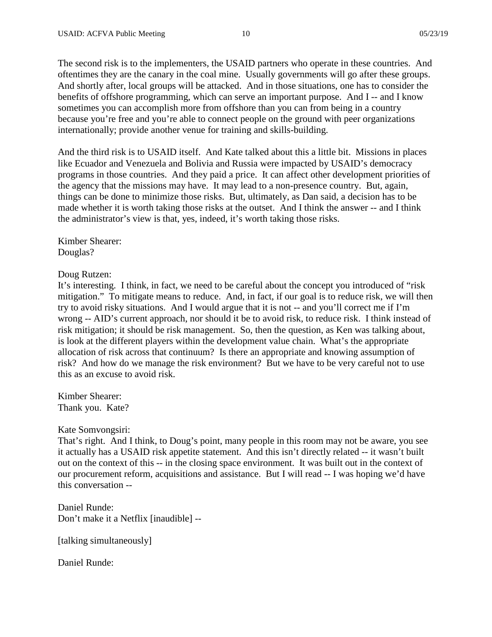The second risk is to the implementers, the USAID partners who operate in these countries. And oftentimes they are the canary in the coal mine. Usually governments will go after these groups. And shortly after, local groups will be attacked. And in those situations, one has to consider the benefits of offshore programming, which can serve an important purpose. And I -- and I know sometimes you can accomplish more from offshore than you can from being in a country because you're free and you're able to connect people on the ground with peer organizations internationally; provide another venue for training and skills-building.

And the third risk is to USAID itself. And Kate talked about this a little bit. Missions in places like Ecuador and Venezuela and Bolivia and Russia were impacted by USAID's democracy programs in those countries. And they paid a price. It can affect other development priorities of the agency that the missions may have. It may lead to a non-presence country. But, again, things can be done to minimize those risks. But, ultimately, as Dan said, a decision has to be made whether it is worth taking those risks at the outset. And I think the answer -- and I think the administrator's view is that, yes, indeed, it's worth taking those risks.

Kimber Shearer: Douglas?

Doug Rutzen:

It's interesting. I think, in fact, we need to be careful about the concept you introduced of "risk mitigation." To mitigate means to reduce. And, in fact, if our goal is to reduce risk, we will then try to avoid risky situations. And I would argue that it is not -- and you'll correct me if I'm wrong -- AID's current approach, nor should it be to avoid risk, to reduce risk. I think instead of risk mitigation; it should be risk management. So, then the question, as Ken was talking about, is look at the different players within the development value chain. What's the appropriate allocation of risk across that continuum? Is there an appropriate and knowing assumption of risk? And how do we manage the risk environment? But we have to be very careful not to use this as an excuse to avoid risk.

Kimber Shearer: Thank you. Kate?

Kate Somvongsiri:

That's right. And I think, to Doug's point, many people in this room may not be aware, you see it actually has a USAID risk appetite statement. And this isn't directly related -- it wasn't built out on the context of this -- in the closing space environment. It was built out in the context of our procurement reform, acquisitions and assistance. But I will read -- I was hoping we'd have this conversation --

Daniel Runde: Don't make it a Netflix [inaudible] --

[talking simultaneously]

Daniel Runde: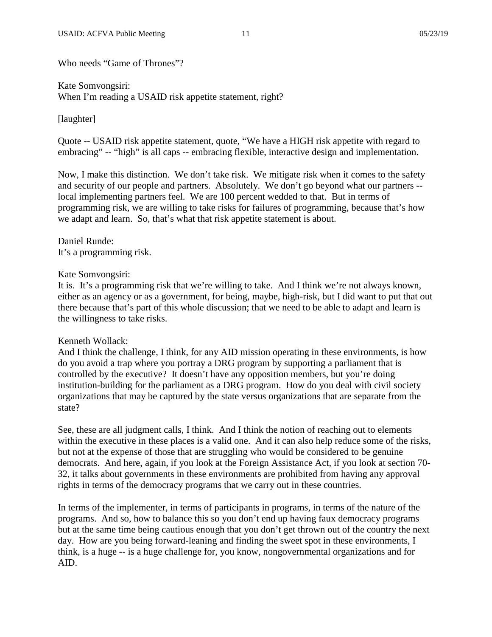Who needs "Game of Thrones"?

Kate Somvongsiri: When I'm reading a USAID risk appetite statement, right?

[laughter]

Quote -- USAID risk appetite statement, quote, "We have a HIGH risk appetite with regard to embracing" -- "high" is all caps -- embracing flexible, interactive design and implementation.

Now, I make this distinction. We don't take risk. We mitigate risk when it comes to the safety and security of our people and partners. Absolutely. We don't go beyond what our partners - local implementing partners feel. We are 100 percent wedded to that. But in terms of programming risk, we are willing to take risks for failures of programming, because that's how we adapt and learn. So, that's what that risk appetite statement is about.

Daniel Runde: It's a programming risk.

### Kate Somvongsiri:

It is. It's a programming risk that we're willing to take. And I think we're not always known, either as an agency or as a government, for being, maybe, high-risk, but I did want to put that out there because that's part of this whole discussion; that we need to be able to adapt and learn is the willingness to take risks.

### Kenneth Wollack:

And I think the challenge, I think, for any AID mission operating in these environments, is how do you avoid a trap where you portray a DRG program by supporting a parliament that is controlled by the executive? It doesn't have any opposition members, but you're doing institution-building for the parliament as a DRG program. How do you deal with civil society organizations that may be captured by the state versus organizations that are separate from the state?

See, these are all judgment calls, I think. And I think the notion of reaching out to elements within the executive in these places is a valid one. And it can also help reduce some of the risks, but not at the expense of those that are struggling who would be considered to be genuine democrats. And here, again, if you look at the Foreign Assistance Act, if you look at section 70- 32, it talks about governments in these environments are prohibited from having any approval rights in terms of the democracy programs that we carry out in these countries.

In terms of the implementer, in terms of participants in programs, in terms of the nature of the programs. And so, how to balance this so you don't end up having faux democracy programs but at the same time being cautious enough that you don't get thrown out of the country the next day. How are you being forward-leaning and finding the sweet spot in these environments, I think, is a huge -- is a huge challenge for, you know, nongovernmental organizations and for AID.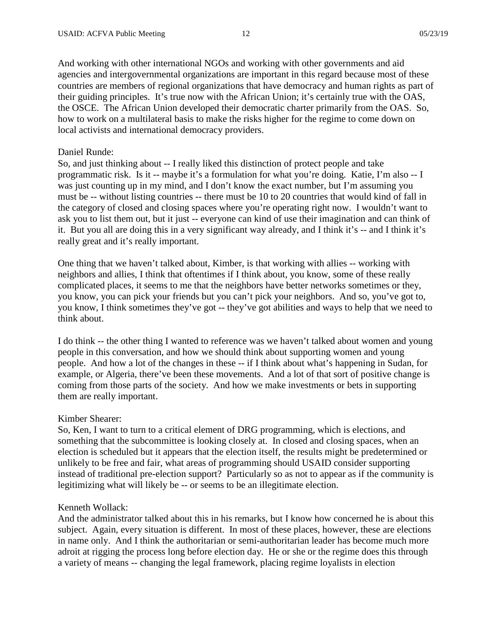And working with other international NGOs and working with other governments and aid agencies and intergovernmental organizations are important in this regard because most of these countries are members of regional organizations that have democracy and human rights as part of their guiding principles. It's true now with the African Union; it's certainly true with the OAS, the OSCE. The African Union developed their democratic charter primarily from the OAS. So, how to work on a multilateral basis to make the risks higher for the regime to come down on local activists and international democracy providers.

#### Daniel Runde:

So, and just thinking about -- I really liked this distinction of protect people and take programmatic risk. Is it -- maybe it's a formulation for what you're doing. Katie, I'm also -- I was just counting up in my mind, and I don't know the exact number, but I'm assuming you must be -- without listing countries -- there must be 10 to 20 countries that would kind of fall in the category of closed and closing spaces where you're operating right now. I wouldn't want to ask you to list them out, but it just -- everyone can kind of use their imagination and can think of it. But you all are doing this in a very significant way already, and I think it's -- and I think it's really great and it's really important.

One thing that we haven't talked about, Kimber, is that working with allies -- working with neighbors and allies, I think that oftentimes if I think about, you know, some of these really complicated places, it seems to me that the neighbors have better networks sometimes or they, you know, you can pick your friends but you can't pick your neighbors. And so, you've got to, you know, I think sometimes they've got -- they've got abilities and ways to help that we need to think about.

I do think -- the other thing I wanted to reference was we haven't talked about women and young people in this conversation, and how we should think about supporting women and young people. And how a lot of the changes in these -- if I think about what's happening in Sudan, for example, or Algeria, there've been these movements. And a lot of that sort of positive change is coming from those parts of the society. And how we make investments or bets in supporting them are really important.

### Kimber Shearer:

So, Ken, I want to turn to a critical element of DRG programming, which is elections, and something that the subcommittee is looking closely at. In closed and closing spaces, when an election is scheduled but it appears that the election itself, the results might be predetermined or unlikely to be free and fair, what areas of programming should USAID consider supporting instead of traditional pre-election support? Particularly so as not to appear as if the community is legitimizing what will likely be -- or seems to be an illegitimate election.

### Kenneth Wollack:

And the administrator talked about this in his remarks, but I know how concerned he is about this subject. Again, every situation is different. In most of these places, however, these are elections in name only. And I think the authoritarian or semi-authoritarian leader has become much more adroit at rigging the process long before election day. He or she or the regime does this through a variety of means -- changing the legal framework, placing regime loyalists in election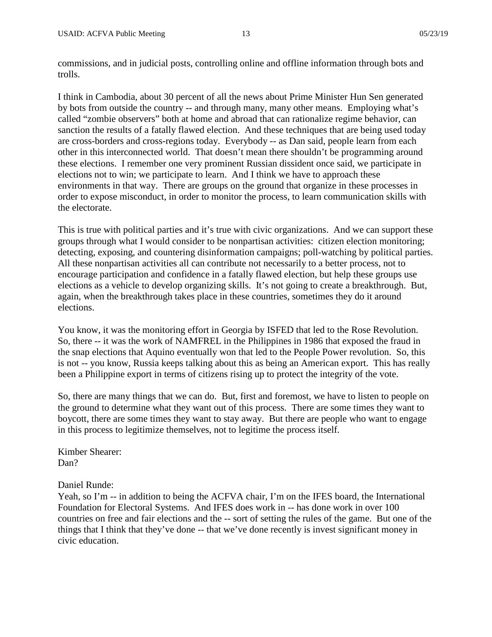commissions, and in judicial posts, controlling online and offline information through bots and trolls.

I think in Cambodia, about 30 percent of all the news about Prime Minister Hun Sen generated by bots from outside the country -- and through many, many other means. Employing what's called "zombie observers" both at home and abroad that can rationalize regime behavior, can sanction the results of a fatally flawed election. And these techniques that are being used today are cross-borders and cross-regions today. Everybody -- as Dan said, people learn from each other in this interconnected world. That doesn't mean there shouldn't be programming around these elections. I remember one very prominent Russian dissident once said, we participate in elections not to win; we participate to learn. And I think we have to approach these environments in that way. There are groups on the ground that organize in these processes in order to expose misconduct, in order to monitor the process, to learn communication skills with the electorate.

This is true with political parties and it's true with civic organizations. And we can support these groups through what I would consider to be nonpartisan activities: citizen election monitoring; detecting, exposing, and countering disinformation campaigns; poll-watching by political parties. All these nonpartisan activities all can contribute not necessarily to a better process, not to encourage participation and confidence in a fatally flawed election, but help these groups use elections as a vehicle to develop organizing skills. It's not going to create a breakthrough. But, again, when the breakthrough takes place in these countries, sometimes they do it around elections.

You know, it was the monitoring effort in Georgia by ISFED that led to the Rose Revolution. So, there -- it was the work of NAMFREL in the Philippines in 1986 that exposed the fraud in the snap elections that Aquino eventually won that led to the People Power revolution. So, this is not -- you know, Russia keeps talking about this as being an American export. This has really been a Philippine export in terms of citizens rising up to protect the integrity of the vote.

So, there are many things that we can do. But, first and foremost, we have to listen to people on the ground to determine what they want out of this process. There are some times they want to boycott, there are some times they want to stay away. But there are people who want to engage in this process to legitimize themselves, not to legitime the process itself.

Kimber Shearer: Dan?

Daniel Runde:

Yeah, so I'm -- in addition to being the ACFVA chair, I'm on the IFES board, the International Foundation for Electoral Systems. And IFES does work in -- has done work in over 100 countries on free and fair elections and the -- sort of setting the rules of the game. But one of the things that I think that they've done -- that we've done recently is invest significant money in civic education.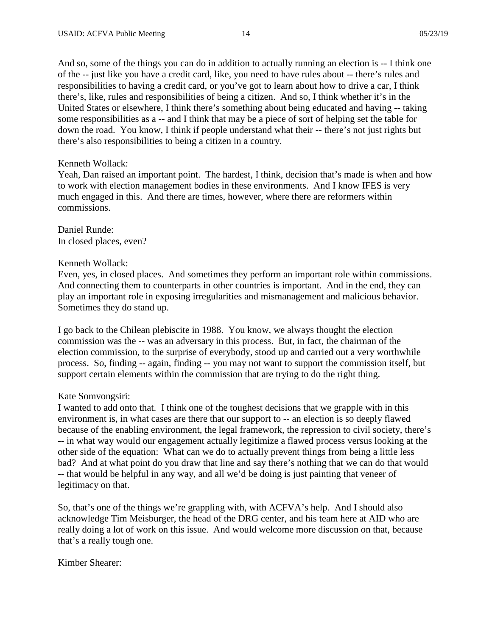And so, some of the things you can do in addition to actually running an election is -- I think one of the -- just like you have a credit card, like, you need to have rules about -- there's rules and responsibilities to having a credit card, or you've got to learn about how to drive a car, I think there's, like, rules and responsibilities of being a citizen. And so, I think whether it's in the United States or elsewhere, I think there's something about being educated and having -- taking some responsibilities as a -- and I think that may be a piece of sort of helping set the table for down the road. You know, I think if people understand what their -- there's not just rights but there's also responsibilities to being a citizen in a country.

### Kenneth Wollack:

Yeah, Dan raised an important point. The hardest, I think, decision that's made is when and how to work with election management bodies in these environments. And I know IFES is very much engaged in this. And there are times, however, where there are reformers within commissions.

Daniel Runde: In closed places, even?

### Kenneth Wollack:

Even, yes, in closed places. And sometimes they perform an important role within commissions. And connecting them to counterparts in other countries is important. And in the end, they can play an important role in exposing irregularities and mismanagement and malicious behavior. Sometimes they do stand up.

I go back to the Chilean plebiscite in 1988. You know, we always thought the election commission was the -- was an adversary in this process. But, in fact, the chairman of the election commission, to the surprise of everybody, stood up and carried out a very worthwhile process. So, finding -- again, finding -- you may not want to support the commission itself, but support certain elements within the commission that are trying to do the right thing.

# Kate Somvongsiri:

I wanted to add onto that. I think one of the toughest decisions that we grapple with in this environment is, in what cases are there that our support to -- an election is so deeply flawed because of the enabling environment, the legal framework, the repression to civil society, there's -- in what way would our engagement actually legitimize a flawed process versus looking at the other side of the equation: What can we do to actually prevent things from being a little less bad? And at what point do you draw that line and say there's nothing that we can do that would -- that would be helpful in any way, and all we'd be doing is just painting that veneer of legitimacy on that.

So, that's one of the things we're grappling with, with ACFVA's help. And I should also acknowledge Tim Meisburger, the head of the DRG center, and his team here at AID who are really doing a lot of work on this issue. And would welcome more discussion on that, because that's a really tough one.

Kimber Shearer: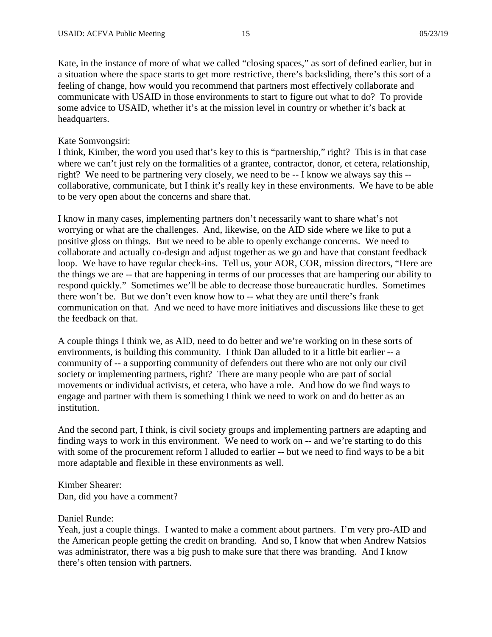Kate, in the instance of more of what we called "closing spaces," as sort of defined earlier, but in a situation where the space starts to get more restrictive, there's backsliding, there's this sort of a feeling of change, how would you recommend that partners most effectively collaborate and communicate with USAID in those environments to start to figure out what to do? To provide some advice to USAID, whether it's at the mission level in country or whether it's back at headquarters.

### Kate Somvongsiri:

I think, Kimber, the word you used that's key to this is "partnership," right? This is in that case where we can't just rely on the formalities of a grantee, contractor, donor, et cetera, relationship, right? We need to be partnering very closely, we need to be -- I know we always say this - collaborative, communicate, but I think it's really key in these environments. We have to be able to be very open about the concerns and share that.

I know in many cases, implementing partners don't necessarily want to share what's not worrying or what are the challenges. And, likewise, on the AID side where we like to put a positive gloss on things. But we need to be able to openly exchange concerns. We need to collaborate and actually co-design and adjust together as we go and have that constant feedback loop. We have to have regular check-ins. Tell us, your AOR, COR, mission directors, "Here are the things we are -- that are happening in terms of our processes that are hampering our ability to respond quickly." Sometimes we'll be able to decrease those bureaucratic hurdles. Sometimes there won't be. But we don't even know how to -- what they are until there's frank communication on that. And we need to have more initiatives and discussions like these to get the feedback on that.

A couple things I think we, as AID, need to do better and we're working on in these sorts of environments, is building this community. I think Dan alluded to it a little bit earlier -- a community of -- a supporting community of defenders out there who are not only our civil society or implementing partners, right? There are many people who are part of social movements or individual activists, et cetera, who have a role. And how do we find ways to engage and partner with them is something I think we need to work on and do better as an institution.

And the second part, I think, is civil society groups and implementing partners are adapting and finding ways to work in this environment. We need to work on -- and we're starting to do this with some of the procurement reform I alluded to earlier -- but we need to find ways to be a bit more adaptable and flexible in these environments as well.

Kimber Shearer: Dan, did you have a comment?

### Daniel Runde:

Yeah, just a couple things. I wanted to make a comment about partners. I'm very pro-AID and the American people getting the credit on branding. And so, I know that when Andrew Natsios was administrator, there was a big push to make sure that there was branding. And I know there's often tension with partners.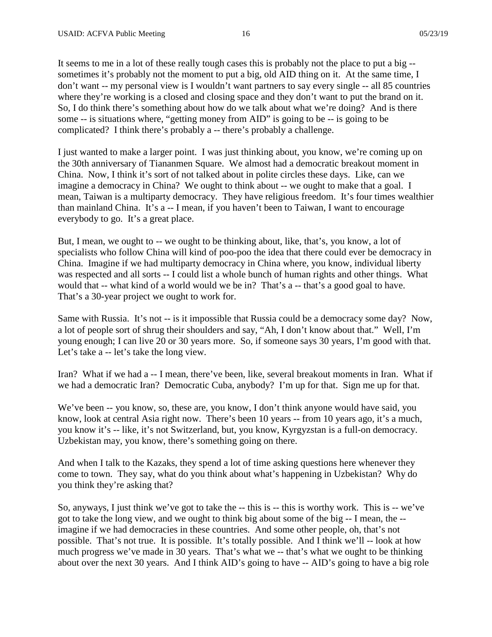It seems to me in a lot of these really tough cases this is probably not the place to put a big - sometimes it's probably not the moment to put a big, old AID thing on it. At the same time, I don't want -- my personal view is I wouldn't want partners to say every single -- all 85 countries where they're working is a closed and closing space and they don't want to put the brand on it. So, I do think there's something about how do we talk about what we're doing? And is there some -- is situations where, "getting money from AID" is going to be -- is going to be complicated? I think there's probably a -- there's probably a challenge.

I just wanted to make a larger point. I was just thinking about, you know, we're coming up on the 30th anniversary of Tiananmen Square. We almost had a democratic breakout moment in China. Now, I think it's sort of not talked about in polite circles these days. Like, can we imagine a democracy in China? We ought to think about -- we ought to make that a goal. I mean, Taiwan is a multiparty democracy. They have religious freedom. It's four times wealthier than mainland China. It's a -- I mean, if you haven't been to Taiwan, I want to encourage everybody to go. It's a great place.

But, I mean, we ought to -- we ought to be thinking about, like, that's, you know, a lot of specialists who follow China will kind of poo-poo the idea that there could ever be democracy in China. Imagine if we had multiparty democracy in China where, you know, individual liberty was respected and all sorts -- I could list a whole bunch of human rights and other things. What would that -- what kind of a world would we be in? That's a -- that's a good goal to have. That's a 30-year project we ought to work for.

Same with Russia. It's not -- is it impossible that Russia could be a democracy some day? Now, a lot of people sort of shrug their shoulders and say, "Ah, I don't know about that." Well, I'm young enough; I can live 20 or 30 years more. So, if someone says 30 years, I'm good with that. Let's take a -- let's take the long view.

Iran? What if we had a -- I mean, there've been, like, several breakout moments in Iran. What if we had a democratic Iran? Democratic Cuba, anybody? I'm up for that. Sign me up for that.

We've been -- you know, so, these are, you know, I don't think anyone would have said, you know, look at central Asia right now. There's been 10 years -- from 10 years ago, it's a much, you know it's -- like, it's not Switzerland, but, you know, Kyrgyzstan is a full-on democracy. Uzbekistan may, you know, there's something going on there.

And when I talk to the Kazaks, they spend a lot of time asking questions here whenever they come to town. They say, what do you think about what's happening in Uzbekistan? Why do you think they're asking that?

So, anyways, I just think we've got to take the -- this is -- this is worthy work. This is -- we've got to take the long view, and we ought to think big about some of the big -- I mean, the - imagine if we had democracies in these countries. And some other people, oh, that's not possible. That's not true. It is possible. It's totally possible. And I think we'll -- look at how much progress we've made in 30 years. That's what we -- that's what we ought to be thinking about over the next 30 years. And I think AID's going to have -- AID's going to have a big role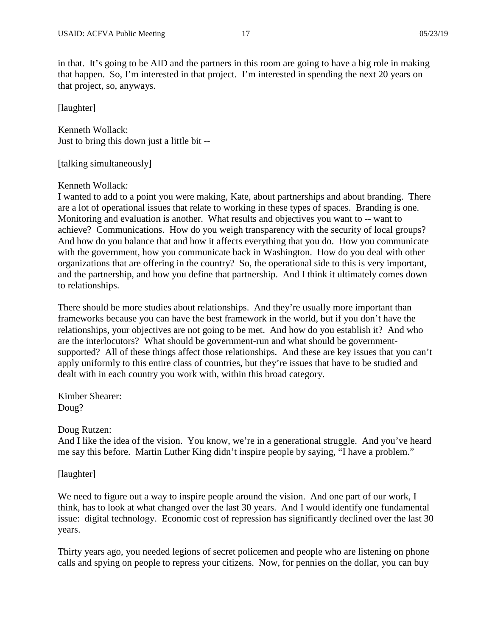in that. It's going to be AID and the partners in this room are going to have a big role in making that happen. So, I'm interested in that project. I'm interested in spending the next 20 years on that project, so, anyways.

[laughter]

Kenneth Wollack: Just to bring this down just a little bit --

[talking simultaneously]

### Kenneth Wollack:

I wanted to add to a point you were making, Kate, about partnerships and about branding. There are a lot of operational issues that relate to working in these types of spaces. Branding is one. Monitoring and evaluation is another. What results and objectives you want to -- want to achieve? Communications. How do you weigh transparency with the security of local groups? And how do you balance that and how it affects everything that you do. How you communicate with the government, how you communicate back in Washington. How do you deal with other organizations that are offering in the country? So, the operational side to this is very important, and the partnership, and how you define that partnership. And I think it ultimately comes down to relationships.

There should be more studies about relationships. And they're usually more important than frameworks because you can have the best framework in the world, but if you don't have the relationships, your objectives are not going to be met. And how do you establish it? And who are the interlocutors? What should be government-run and what should be governmentsupported? All of these things affect those relationships. And these are key issues that you can't apply uniformly to this entire class of countries, but they're issues that have to be studied and dealt with in each country you work with, within this broad category.

Kimber Shearer: Doug?

#### Doug Rutzen:

And I like the idea of the vision. You know, we're in a generational struggle. And you've heard me say this before. Martin Luther King didn't inspire people by saying, "I have a problem."

[laughter]

We need to figure out a way to inspire people around the vision. And one part of our work, I think, has to look at what changed over the last 30 years. And I would identify one fundamental issue: digital technology. Economic cost of repression has significantly declined over the last 30 years.

Thirty years ago, you needed legions of secret policemen and people who are listening on phone calls and spying on people to repress your citizens. Now, for pennies on the dollar, you can buy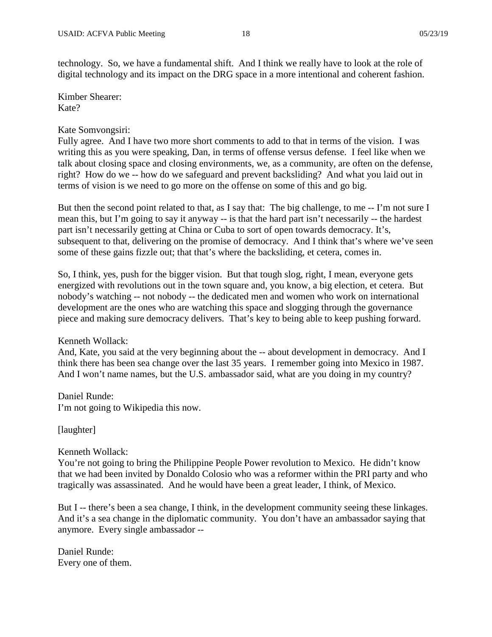technology. So, we have a fundamental shift. And I think we really have to look at the role of digital technology and its impact on the DRG space in a more intentional and coherent fashion.

Kimber Shearer: Kate?

### Kate Somvongsiri:

Fully agree. And I have two more short comments to add to that in terms of the vision. I was writing this as you were speaking, Dan, in terms of offense versus defense. I feel like when we talk about closing space and closing environments, we, as a community, are often on the defense, right? How do we -- how do we safeguard and prevent backsliding? And what you laid out in terms of vision is we need to go more on the offense on some of this and go big.

But then the second point related to that, as I say that: The big challenge, to me -- I'm not sure I mean this, but I'm going to say it anyway -- is that the hard part isn't necessarily -- the hardest part isn't necessarily getting at China or Cuba to sort of open towards democracy. It's, subsequent to that, delivering on the promise of democracy. And I think that's where we've seen some of these gains fizzle out; that that's where the backsliding, et cetera, comes in.

So, I think, yes, push for the bigger vision. But that tough slog, right, I mean, everyone gets energized with revolutions out in the town square and, you know, a big election, et cetera. But nobody's watching -- not nobody -- the dedicated men and women who work on international development are the ones who are watching this space and slogging through the governance piece and making sure democracy delivers. That's key to being able to keep pushing forward.

Kenneth Wollack:

And, Kate, you said at the very beginning about the -- about development in democracy. And I think there has been sea change over the last 35 years. I remember going into Mexico in 1987. And I won't name names, but the U.S. ambassador said, what are you doing in my country?

Daniel Runde: I'm not going to Wikipedia this now.

[laughter]

Kenneth Wollack:

You're not going to bring the Philippine People Power revolution to Mexico. He didn't know that we had been invited by Donaldo Colosio who was a reformer within the PRI party and who tragically was assassinated. And he would have been a great leader, I think, of Mexico.

But I -- there's been a sea change, I think, in the development community seeing these linkages. And it's a sea change in the diplomatic community. You don't have an ambassador saying that anymore. Every single ambassador --

Daniel Runde: Every one of them.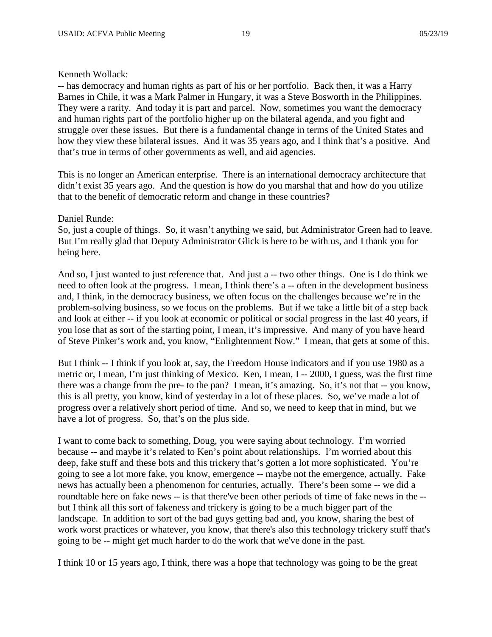## Kenneth Wollack:

-- has democracy and human rights as part of his or her portfolio. Back then, it was a Harry Barnes in Chile, it was a Mark Palmer in Hungary, it was a Steve Bosworth in the Philippines. They were a rarity. And today it is part and parcel. Now, sometimes you want the democracy and human rights part of the portfolio higher up on the bilateral agenda, and you fight and struggle over these issues. But there is a fundamental change in terms of the United States and how they view these bilateral issues. And it was 35 years ago, and I think that's a positive. And that's true in terms of other governments as well, and aid agencies.

This is no longer an American enterprise. There is an international democracy architecture that didn't exist 35 years ago. And the question is how do you marshal that and how do you utilize that to the benefit of democratic reform and change in these countries?

## Daniel Runde:

So, just a couple of things. So, it wasn't anything we said, but Administrator Green had to leave. But I'm really glad that Deputy Administrator Glick is here to be with us, and I thank you for being here.

And so, I just wanted to just reference that. And just a -- two other things. One is I do think we need to often look at the progress. I mean, I think there's a -- often in the development business and, I think, in the democracy business, we often focus on the challenges because we're in the problem-solving business, so we focus on the problems. But if we take a little bit of a step back and look at either -- if you look at economic or political or social progress in the last 40 years, if you lose that as sort of the starting point, I mean, it's impressive. And many of you have heard of Steve Pinker's work and, you know, "Enlightenment Now." I mean, that gets at some of this.

But I think -- I think if you look at, say, the Freedom House indicators and if you use 1980 as a metric or, I mean, I'm just thinking of Mexico. Ken, I mean, I -- 2000, I guess, was the first time there was a change from the pre- to the pan? I mean, it's amazing. So, it's not that -- you know, this is all pretty, you know, kind of yesterday in a lot of these places. So, we've made a lot of progress over a relatively short period of time. And so, we need to keep that in mind, but we have a lot of progress. So, that's on the plus side.

I want to come back to something, Doug, you were saying about technology. I'm worried because -- and maybe it's related to Ken's point about relationships. I'm worried about this deep, fake stuff and these bots and this trickery that's gotten a lot more sophisticated. You're going to see a lot more fake, you know, emergence -- maybe not the emergence, actually. Fake news has actually been a phenomenon for centuries, actually. There's been some -- we did a roundtable here on fake news -- is that there've been other periods of time of fake news in the - but I think all this sort of fakeness and trickery is going to be a much bigger part of the landscape. In addition to sort of the bad guys getting bad and, you know, sharing the best of work worst practices or whatever, you know, that there's also this technology trickery stuff that's going to be -- might get much harder to do the work that we've done in the past.

I think 10 or 15 years ago, I think, there was a hope that technology was going to be the great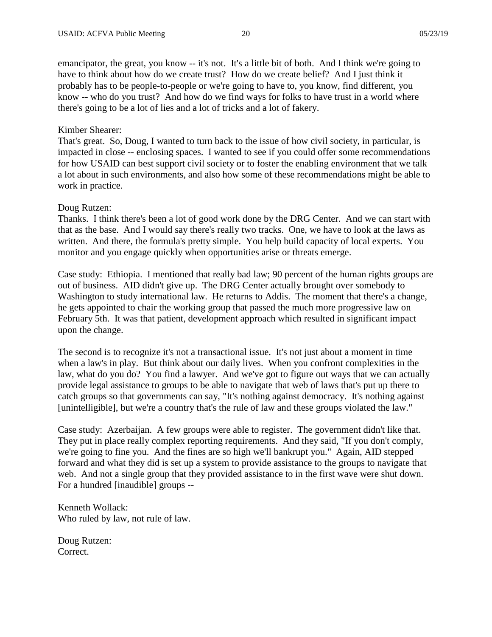emancipator, the great, you know -- it's not. It's a little bit of both. And I think we're going to have to think about how do we create trust? How do we create belief? And I just think it probably has to be people-to-people or we're going to have to, you know, find different, you know -- who do you trust? And how do we find ways for folks to have trust in a world where there's going to be a lot of lies and a lot of tricks and a lot of fakery.

### Kimber Shearer:

That's great. So, Doug, I wanted to turn back to the issue of how civil society, in particular, is impacted in close -- enclosing spaces. I wanted to see if you could offer some recommendations for how USAID can best support civil society or to foster the enabling environment that we talk a lot about in such environments, and also how some of these recommendations might be able to work in practice.

### Doug Rutzen:

Thanks. I think there's been a lot of good work done by the DRG Center. And we can start with that as the base. And I would say there's really two tracks. One, we have to look at the laws as written. And there, the formula's pretty simple. You help build capacity of local experts. You monitor and you engage quickly when opportunities arise or threats emerge.

Case study: Ethiopia. I mentioned that really bad law; 90 percent of the human rights groups are out of business. AID didn't give up. The DRG Center actually brought over somebody to Washington to study international law. He returns to Addis. The moment that there's a change, he gets appointed to chair the working group that passed the much more progressive law on February 5th. It was that patient, development approach which resulted in significant impact upon the change.

The second is to recognize it's not a transactional issue. It's not just about a moment in time when a law's in play. But think about our daily lives. When you confront complexities in the law, what do you do? You find a lawyer. And we've got to figure out ways that we can actually provide legal assistance to groups to be able to navigate that web of laws that's put up there to catch groups so that governments can say, "It's nothing against democracy. It's nothing against [unintelligible], but we're a country that's the rule of law and these groups violated the law."

Case study: Azerbaijan. A few groups were able to register. The government didn't like that. They put in place really complex reporting requirements. And they said, "If you don't comply, we're going to fine you. And the fines are so high we'll bankrupt you." Again, AID stepped forward and what they did is set up a system to provide assistance to the groups to navigate that web. And not a single group that they provided assistance to in the first wave were shut down. For a hundred [inaudible] groups --

Kenneth Wollack: Who ruled by law, not rule of law.

Doug Rutzen: Correct.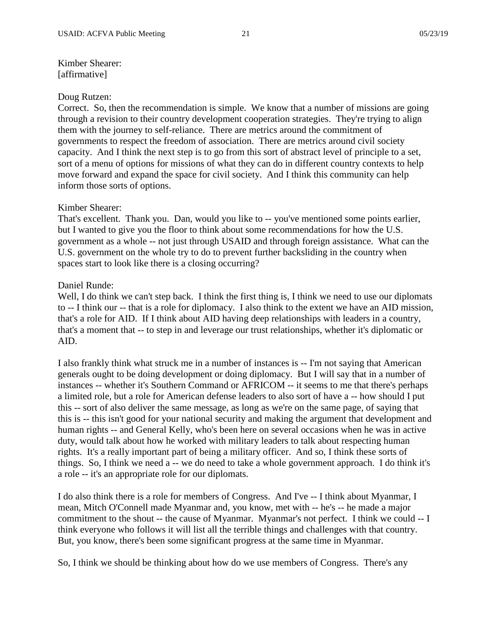# Kimber Shearer: [affirmative]

### Doug Rutzen:

Correct. So, then the recommendation is simple. We know that a number of missions are going through a revision to their country development cooperation strategies. They're trying to align them with the journey to self-reliance. There are metrics around the commitment of governments to respect the freedom of association. There are metrics around civil society capacity. And I think the next step is to go from this sort of abstract level of principle to a set, sort of a menu of options for missions of what they can do in different country contexts to help move forward and expand the space for civil society. And I think this community can help inform those sorts of options.

### Kimber Shearer:

That's excellent. Thank you. Dan, would you like to -- you've mentioned some points earlier, but I wanted to give you the floor to think about some recommendations for how the U.S. government as a whole -- not just through USAID and through foreign assistance. What can the U.S. government on the whole try to do to prevent further backsliding in the country when spaces start to look like there is a closing occurring?

## Daniel Runde:

Well, I do think we can't step back. I think the first thing is, I think we need to use our diplomats to -- I think our -- that is a role for diplomacy. I also think to the extent we have an AID mission, that's a role for AID. If I think about AID having deep relationships with leaders in a country, that's a moment that -- to step in and leverage our trust relationships, whether it's diplomatic or AID.

I also frankly think what struck me in a number of instances is -- I'm not saying that American generals ought to be doing development or doing diplomacy. But I will say that in a number of instances -- whether it's Southern Command or AFRICOM -- it seems to me that there's perhaps a limited role, but a role for American defense leaders to also sort of have a -- how should I put this -- sort of also deliver the same message, as long as we're on the same page, of saying that this is -- this isn't good for your national security and making the argument that development and human rights -- and General Kelly, who's been here on several occasions when he was in active duty, would talk about how he worked with military leaders to talk about respecting human rights. It's a really important part of being a military officer. And so, I think these sorts of things. So, I think we need a -- we do need to take a whole government approach. I do think it's a role -- it's an appropriate role for our diplomats.

I do also think there is a role for members of Congress. And I've -- I think about Myanmar, I mean, Mitch O'Connell made Myanmar and, you know, met with -- he's -- he made a major commitment to the shout -- the cause of Myanmar. Myanmar's not perfect. I think we could -- I think everyone who follows it will list all the terrible things and challenges with that country. But, you know, there's been some significant progress at the same time in Myanmar.

So, I think we should be thinking about how do we use members of Congress. There's any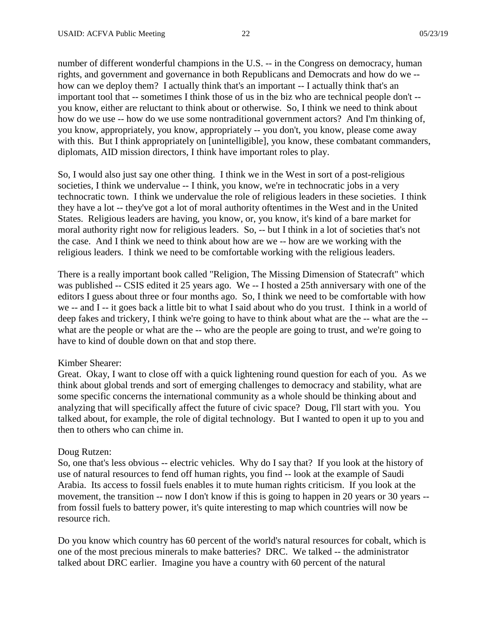number of different wonderful champions in the U.S. -- in the Congress on democracy, human rights, and government and governance in both Republicans and Democrats and how do we - how can we deploy them? I actually think that's an important -- I actually think that's an important tool that -- sometimes I think those of us in the biz who are technical people don't - you know, either are reluctant to think about or otherwise. So, I think we need to think about how do we use -- how do we use some nontraditional government actors? And I'm thinking of, you know, appropriately, you know, appropriately -- you don't, you know, please come away with this. But I think appropriately on [unintelligible], you know, these combatant commanders, diplomats, AID mission directors, I think have important roles to play.

So, I would also just say one other thing. I think we in the West in sort of a post-religious societies, I think we undervalue -- I think, you know, we're in technocratic jobs in a very technocratic town. I think we undervalue the role of religious leaders in these societies. I think they have a lot -- they've got a lot of moral authority oftentimes in the West and in the United States. Religious leaders are having, you know, or, you know, it's kind of a bare market for moral authority right now for religious leaders. So, -- but I think in a lot of societies that's not the case. And I think we need to think about how are we -- how are we working with the religious leaders. I think we need to be comfortable working with the religious leaders.

There is a really important book called "Religion, The Missing Dimension of Statecraft" which was published -- CSIS edited it 25 years ago. We -- I hosted a 25th anniversary with one of the editors I guess about three or four months ago. So, I think we need to be comfortable with how we -- and I -- it goes back a little bit to what I said about who do you trust. I think in a world of deep fakes and trickery, I think we're going to have to think about what are the -- what are the - what are the people or what are the -- who are the people are going to trust, and we're going to have to kind of double down on that and stop there.

### Kimber Shearer:

Great. Okay, I want to close off with a quick lightening round question for each of you. As we think about global trends and sort of emerging challenges to democracy and stability, what are some specific concerns the international community as a whole should be thinking about and analyzing that will specifically affect the future of civic space? Doug, I'll start with you. You talked about, for example, the role of digital technology. But I wanted to open it up to you and then to others who can chime in.

### Doug Rutzen:

So, one that's less obvious -- electric vehicles. Why do I say that? If you look at the history of use of natural resources to fend off human rights, you find -- look at the example of Saudi Arabia. Its access to fossil fuels enables it to mute human rights criticism. If you look at the movement, the transition -- now I don't know if this is going to happen in 20 years or 30 years -from fossil fuels to battery power, it's quite interesting to map which countries will now be resource rich.

Do you know which country has 60 percent of the world's natural resources for cobalt, which is one of the most precious minerals to make batteries? DRC. We talked -- the administrator talked about DRC earlier. Imagine you have a country with 60 percent of the natural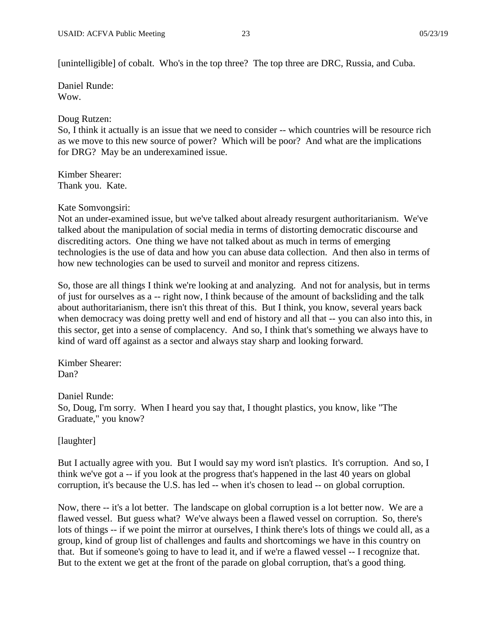[unintelligible] of cobalt. Who's in the top three? The top three are DRC, Russia, and Cuba.

Daniel Runde: Wow.

Doug Rutzen:

So, I think it actually is an issue that we need to consider -- which countries will be resource rich as we move to this new source of power? Which will be poor? And what are the implications for DRG? May be an underexamined issue.

Kimber Shearer: Thank you. Kate.

Kate Somvongsiri:

Not an under-examined issue, but we've talked about already resurgent authoritarianism. We've talked about the manipulation of social media in terms of distorting democratic discourse and discrediting actors. One thing we have not talked about as much in terms of emerging technologies is the use of data and how you can abuse data collection. And then also in terms of how new technologies can be used to surveil and monitor and repress citizens.

So, those are all things I think we're looking at and analyzing. And not for analysis, but in terms of just for ourselves as a -- right now, I think because of the amount of backsliding and the talk about authoritarianism, there isn't this threat of this. But I think, you know, several years back when democracy was doing pretty well and end of history and all that -- you can also into this, in this sector, get into a sense of complacency. And so, I think that's something we always have to kind of ward off against as a sector and always stay sharp and looking forward.

Kimber Shearer: Dan?

Daniel Runde: So, Doug, I'm sorry. When I heard you say that, I thought plastics, you know, like "The Graduate," you know?

[laughter]

But I actually agree with you. But I would say my word isn't plastics. It's corruption. And so, I think we've got a -- if you look at the progress that's happened in the last 40 years on global corruption, it's because the U.S. has led -- when it's chosen to lead -- on global corruption.

Now, there -- it's a lot better. The landscape on global corruption is a lot better now. We are a flawed vessel. But guess what? We've always been a flawed vessel on corruption. So, there's lots of things -- if we point the mirror at ourselves, I think there's lots of things we could all, as a group, kind of group list of challenges and faults and shortcomings we have in this country on that. But if someone's going to have to lead it, and if we're a flawed vessel -- I recognize that. But to the extent we get at the front of the parade on global corruption, that's a good thing.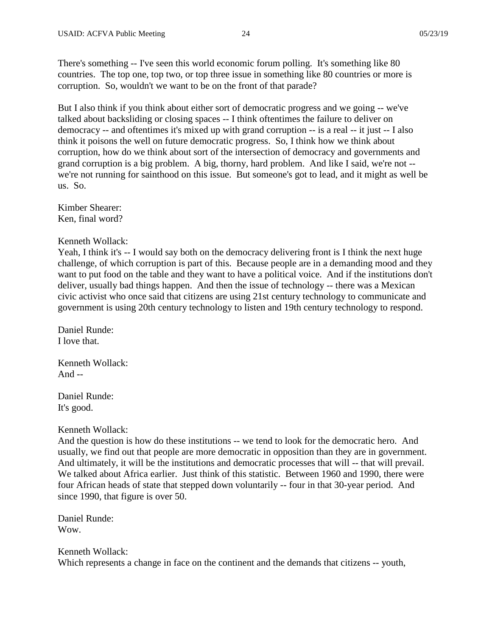There's something -- I've seen this world economic forum polling. It's something like 80 countries. The top one, top two, or top three issue in something like 80 countries or more is corruption. So, wouldn't we want to be on the front of that parade?

But I also think if you think about either sort of democratic progress and we going -- we've talked about backsliding or closing spaces -- I think oftentimes the failure to deliver on democracy -- and oftentimes it's mixed up with grand corruption -- is a real -- it just -- I also think it poisons the well on future democratic progress. So, I think how we think about corruption, how do we think about sort of the intersection of democracy and governments and grand corruption is a big problem. A big, thorny, hard problem. And like I said, we're not - we're not running for sainthood on this issue. But someone's got to lead, and it might as well be us. So.

Kimber Shearer: Ken, final word?

#### Kenneth Wollack:

Yeah, I think it's -- I would say both on the democracy delivering front is I think the next huge challenge, of which corruption is part of this. Because people are in a demanding mood and they want to put food on the table and they want to have a political voice. And if the institutions don't deliver, usually bad things happen. And then the issue of technology -- there was a Mexican civic activist who once said that citizens are using 21st century technology to communicate and government is using 20th century technology to listen and 19th century technology to respond.

Daniel Runde: I love that.

Kenneth Wollack: And  $-$ 

Daniel Runde: It's good.

### Kenneth Wollack:

And the question is how do these institutions -- we tend to look for the democratic hero. And usually, we find out that people are more democratic in opposition than they are in government. And ultimately, it will be the institutions and democratic processes that will -- that will prevail. We talked about Africa earlier. Just think of this statistic. Between 1960 and 1990, there were four African heads of state that stepped down voluntarily -- four in that 30-year period. And since 1990, that figure is over 50.

Daniel Runde: Wow.

## Kenneth Wollack: Which represents a change in face on the continent and the demands that citizens -- youth,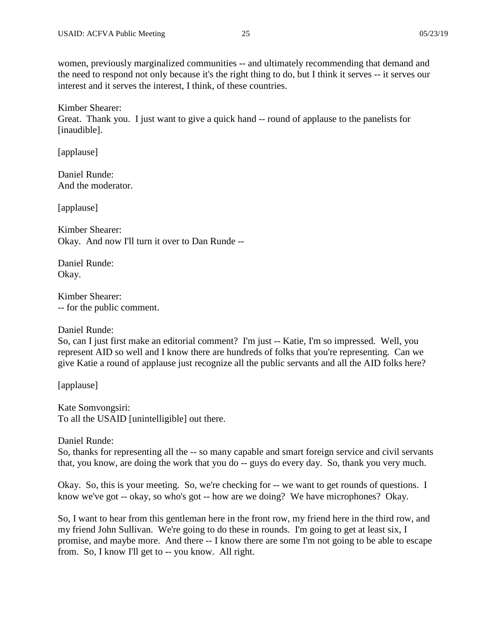women, previously marginalized communities -- and ultimately recommending that demand and the need to respond not only because it's the right thing to do, but I think it serves -- it serves our interest and it serves the interest, I think, of these countries.

Kimber Shearer: Great. Thank you. I just want to give a quick hand -- round of applause to the panelists for [inaudible].

[applause]

Daniel Runde: And the moderator.

[applause]

Kimber Shearer: Okay. And now I'll turn it over to Dan Runde --

Daniel Runde: Okay.

Kimber Shearer: -- for the public comment.

Daniel Runde:

So, can I just first make an editorial comment? I'm just -- Katie, I'm so impressed. Well, you represent AID so well and I know there are hundreds of folks that you're representing. Can we give Katie a round of applause just recognize all the public servants and all the AID folks here?

[applause]

Kate Somvongsiri: To all the USAID [unintelligible] out there.

Daniel Runde:

So, thanks for representing all the -- so many capable and smart foreign service and civil servants that, you know, are doing the work that you do -- guys do every day. So, thank you very much.

Okay. So, this is your meeting. So, we're checking for -- we want to get rounds of questions. I know we've got -- okay, so who's got -- how are we doing? We have microphones? Okay.

So, I want to hear from this gentleman here in the front row, my friend here in the third row, and my friend John Sullivan. We're going to do these in rounds. I'm going to get at least six, I promise, and maybe more. And there -- I know there are some I'm not going to be able to escape from. So, I know I'll get to -- you know. All right.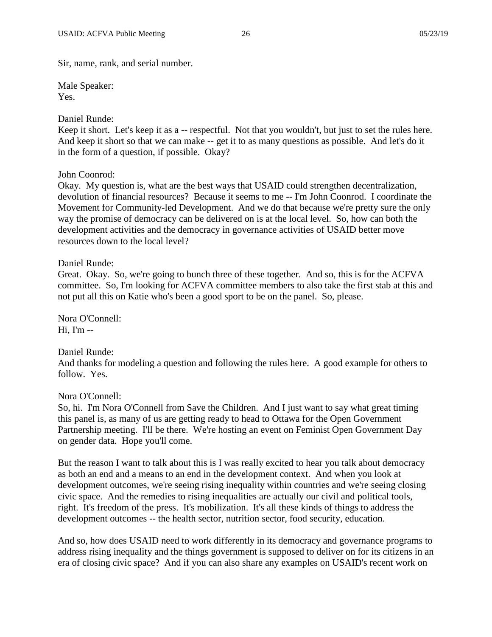Sir, name, rank, and serial number.

Male Speaker: Yes.

# Daniel Runde:

Keep it short. Let's keep it as a -- respectful. Not that you wouldn't, but just to set the rules here. And keep it short so that we can make -- get it to as many questions as possible. And let's do it in the form of a question, if possible. Okay?

# John Coonrod:

Okay. My question is, what are the best ways that USAID could strengthen decentralization, devolution of financial resources? Because it seems to me -- I'm John Coonrod. I coordinate the Movement for Community-led Development. And we do that because we're pretty sure the only way the promise of democracy can be delivered on is at the local level. So, how can both the development activities and the democracy in governance activities of USAID better move resources down to the local level?

# Daniel Runde:

Great. Okay. So, we're going to bunch three of these together. And so, this is for the ACFVA committee. So, I'm looking for ACFVA committee members to also take the first stab at this and not put all this on Katie who's been a good sport to be on the panel. So, please.

Nora O'Connell:  $Hi$ ,  $I'm -$ 

# Daniel Runde:

And thanks for modeling a question and following the rules here. A good example for others to follow. Yes.

# Nora O'Connell:

So, hi. I'm Nora O'Connell from Save the Children. And I just want to say what great timing this panel is, as many of us are getting ready to head to Ottawa for the Open Government Partnership meeting. I'll be there. We're hosting an event on Feminist Open Government Day on gender data. Hope you'll come.

But the reason I want to talk about this is I was really excited to hear you talk about democracy as both an end and a means to an end in the development context. And when you look at development outcomes, we're seeing rising inequality within countries and we're seeing closing civic space. And the remedies to rising inequalities are actually our civil and political tools, right. It's freedom of the press. It's mobilization. It's all these kinds of things to address the development outcomes -- the health sector, nutrition sector, food security, education.

And so, how does USAID need to work differently in its democracy and governance programs to address rising inequality and the things government is supposed to deliver on for its citizens in an era of closing civic space? And if you can also share any examples on USAID's recent work on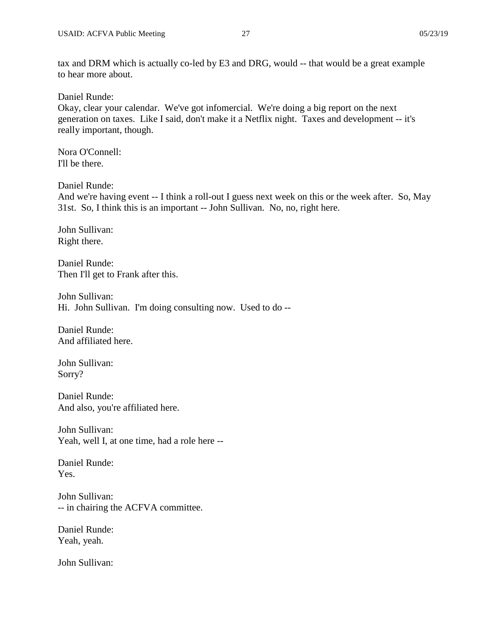Daniel Runde:

Okay, clear your calendar. We've got infomercial. We're doing a big report on the next generation on taxes. Like I said, don't make it a Netflix night. Taxes and development -- it's really important, though.

Nora O'Connell: I'll be there.

Daniel Runde:

And we're having event -- I think a roll-out I guess next week on this or the week after. So, May 31st. So, I think this is an important -- John Sullivan. No, no, right here.

John Sullivan: Right there.

Daniel Runde: Then I'll get to Frank after this.

John Sullivan: Hi. John Sullivan. I'm doing consulting now. Used to do --

Daniel Runde: And affiliated here.

John Sullivan: Sorry?

Daniel Runde: And also, you're affiliated here.

John Sullivan: Yeah, well I, at one time, had a role here --

Daniel Runde: Yes.

John Sullivan: -- in chairing the ACFVA committee.

Daniel Runde: Yeah, yeah.

John Sullivan: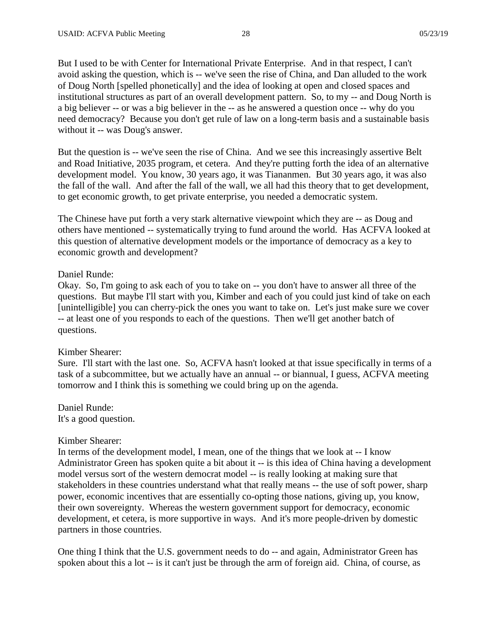But I used to be with Center for International Private Enterprise. And in that respect, I can't avoid asking the question, which is -- we've seen the rise of China, and Dan alluded to the work of Doug North [spelled phonetically] and the idea of looking at open and closed spaces and institutional structures as part of an overall development pattern. So, to my -- and Doug North is a big believer -- or was a big believer in the -- as he answered a question once -- why do you need democracy? Because you don't get rule of law on a long-term basis and a sustainable basis without it -- was Doug's answer.

But the question is -- we've seen the rise of China. And we see this increasingly assertive Belt and Road Initiative, 2035 program, et cetera. And they're putting forth the idea of an alternative development model. You know, 30 years ago, it was Tiananmen. But 30 years ago, it was also the fall of the wall. And after the fall of the wall, we all had this theory that to get development, to get economic growth, to get private enterprise, you needed a democratic system.

The Chinese have put forth a very stark alternative viewpoint which they are -- as Doug and others have mentioned -- systematically trying to fund around the world. Has ACFVA looked at this question of alternative development models or the importance of democracy as a key to economic growth and development?

### Daniel Runde:

Okay. So, I'm going to ask each of you to take on -- you don't have to answer all three of the questions. But maybe I'll start with you, Kimber and each of you could just kind of take on each [unintelligible] you can cherry-pick the ones you want to take on. Let's just make sure we cover -- at least one of you responds to each of the questions. Then we'll get another batch of questions.

### Kimber Shearer:

Sure. I'll start with the last one. So, ACFVA hasn't looked at that issue specifically in terms of a task of a subcommittee, but we actually have an annual -- or biannual, I guess, ACFVA meeting tomorrow and I think this is something we could bring up on the agenda.

Daniel Runde: It's a good question.

### Kimber Shearer:

In terms of the development model, I mean, one of the things that we look at -- I know Administrator Green has spoken quite a bit about it -- is this idea of China having a development model versus sort of the western democrat model -- is really looking at making sure that stakeholders in these countries understand what that really means -- the use of soft power, sharp power, economic incentives that are essentially co-opting those nations, giving up, you know, their own sovereignty. Whereas the western government support for democracy, economic development, et cetera, is more supportive in ways. And it's more people-driven by domestic partners in those countries.

One thing I think that the U.S. government needs to do -- and again, Administrator Green has spoken about this a lot -- is it can't just be through the arm of foreign aid. China, of course, as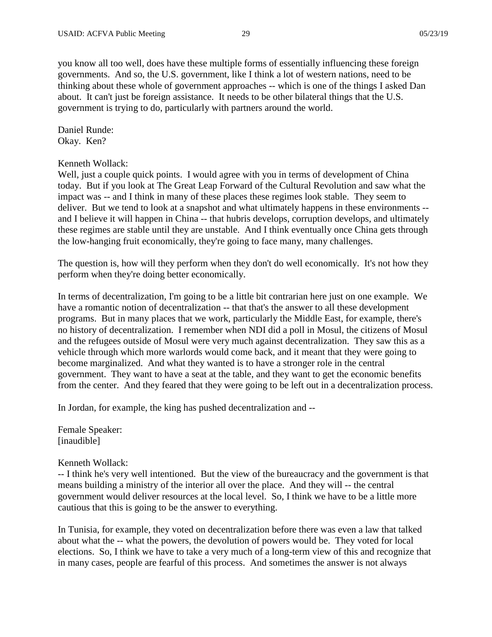you know all too well, does have these multiple forms of essentially influencing these foreign governments. And so, the U.S. government, like I think a lot of western nations, need to be thinking about these whole of government approaches -- which is one of the things I asked Dan about. It can't just be foreign assistance. It needs to be other bilateral things that the U.S. government is trying to do, particularly with partners around the world.

Daniel Runde: Okay. Ken?

### Kenneth Wollack:

Well, just a couple quick points. I would agree with you in terms of development of China today. But if you look at The Great Leap Forward of the Cultural Revolution and saw what the impact was -- and I think in many of these places these regimes look stable. They seem to deliver. But we tend to look at a snapshot and what ultimately happens in these environments - and I believe it will happen in China -- that hubris develops, corruption develops, and ultimately these regimes are stable until they are unstable. And I think eventually once China gets through the low-hanging fruit economically, they're going to face many, many challenges.

The question is, how will they perform when they don't do well economically. It's not how they perform when they're doing better economically.

In terms of decentralization, I'm going to be a little bit contrarian here just on one example. We have a romantic notion of decentralization -- that that's the answer to all these development programs. But in many places that we work, particularly the Middle East, for example, there's no history of decentralization. I remember when NDI did a poll in Mosul, the citizens of Mosul and the refugees outside of Mosul were very much against decentralization. They saw this as a vehicle through which more warlords would come back, and it meant that they were going to become marginalized. And what they wanted is to have a stronger role in the central government. They want to have a seat at the table, and they want to get the economic benefits from the center. And they feared that they were going to be left out in a decentralization process.

In Jordan, for example, the king has pushed decentralization and --

Female Speaker: [inaudible]

#### Kenneth Wollack:

-- I think he's very well intentioned. But the view of the bureaucracy and the government is that means building a ministry of the interior all over the place. And they will -- the central government would deliver resources at the local level. So, I think we have to be a little more cautious that this is going to be the answer to everything.

In Tunisia, for example, they voted on decentralization before there was even a law that talked about what the -- what the powers, the devolution of powers would be. They voted for local elections. So, I think we have to take a very much of a long-term view of this and recognize that in many cases, people are fearful of this process. And sometimes the answer is not always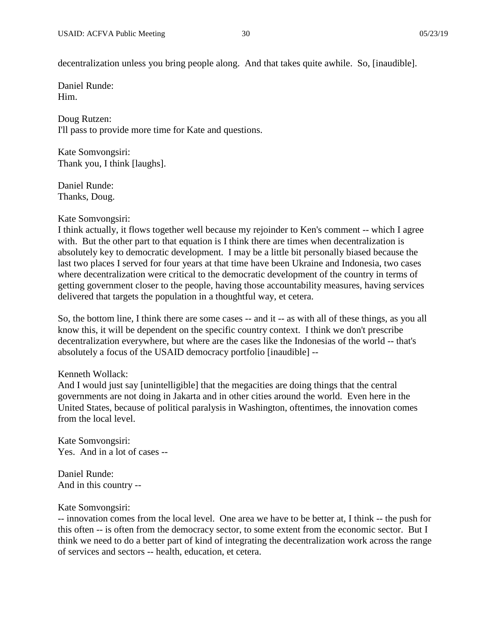decentralization unless you bring people along. And that takes quite awhile. So, [inaudible].

Daniel Runde: Him.

Doug Rutzen: I'll pass to provide more time for Kate and questions.

Kate Somvongsiri: Thank you, I think [laughs].

Daniel Runde: Thanks, Doug.

# Kate Somvongsiri:

I think actually, it flows together well because my rejoinder to Ken's comment -- which I agree with. But the other part to that equation is I think there are times when decentralization is absolutely key to democratic development. I may be a little bit personally biased because the last two places I served for four years at that time have been Ukraine and Indonesia, two cases where decentralization were critical to the democratic development of the country in terms of getting government closer to the people, having those accountability measures, having services delivered that targets the population in a thoughtful way, et cetera.

So, the bottom line, I think there are some cases -- and it -- as with all of these things, as you all know this, it will be dependent on the specific country context. I think we don't prescribe decentralization everywhere, but where are the cases like the Indonesias of the world -- that's absolutely a focus of the USAID democracy portfolio [inaudible] --

# Kenneth Wollack:

And I would just say [unintelligible] that the megacities are doing things that the central governments are not doing in Jakarta and in other cities around the world. Even here in the United States, because of political paralysis in Washington, oftentimes, the innovation comes from the local level.

Kate Somvongsiri: Yes. And in a lot of cases --

Daniel Runde: And in this country --

# Kate Somvongsiri:

-- innovation comes from the local level. One area we have to be better at, I think -- the push for this often -- is often from the democracy sector, to some extent from the economic sector. But I think we need to do a better part of kind of integrating the decentralization work across the range of services and sectors -- health, education, et cetera.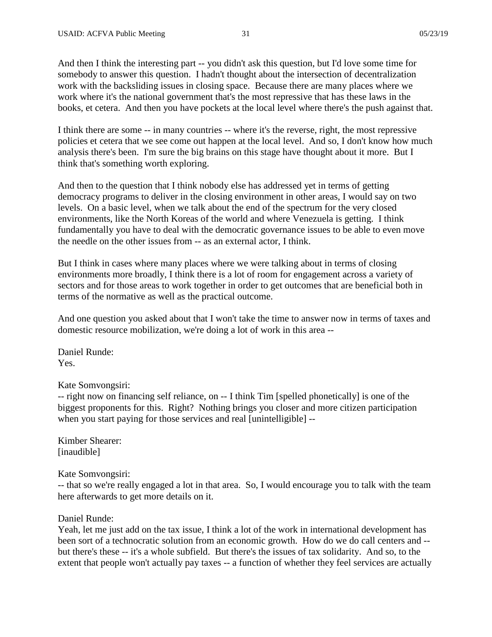And then I think the interesting part -- you didn't ask this question, but I'd love some time for somebody to answer this question. I hadn't thought about the intersection of decentralization work with the backsliding issues in closing space. Because there are many places where we work where it's the national government that's the most repressive that has these laws in the books, et cetera. And then you have pockets at the local level where there's the push against that.

I think there are some -- in many countries -- where it's the reverse, right, the most repressive policies et cetera that we see come out happen at the local level. And so, I don't know how much analysis there's been. I'm sure the big brains on this stage have thought about it more. But I think that's something worth exploring.

And then to the question that I think nobody else has addressed yet in terms of getting democracy programs to deliver in the closing environment in other areas, I would say on two levels. On a basic level, when we talk about the end of the spectrum for the very closed environments, like the North Koreas of the world and where Venezuela is getting. I think fundamentally you have to deal with the democratic governance issues to be able to even move the needle on the other issues from -- as an external actor, I think.

But I think in cases where many places where we were talking about in terms of closing environments more broadly, I think there is a lot of room for engagement across a variety of sectors and for those areas to work together in order to get outcomes that are beneficial both in terms of the normative as well as the practical outcome.

And one question you asked about that I won't take the time to answer now in terms of taxes and domestic resource mobilization, we're doing a lot of work in this area --

Daniel Runde: Yes.

Kate Somvongsiri:

-- right now on financing self reliance, on -- I think Tim [spelled phonetically] is one of the biggest proponents for this. Right? Nothing brings you closer and more citizen participation when you start paying for those services and real [unintelligible] --

Kimber Shearer: [inaudible]

Kate Somvongsiri:

-- that so we're really engaged a lot in that area. So, I would encourage you to talk with the team here afterwards to get more details on it.

### Daniel Runde:

Yeah, let me just add on the tax issue, I think a lot of the work in international development has been sort of a technocratic solution from an economic growth. How do we do call centers and - but there's these -- it's a whole subfield. But there's the issues of tax solidarity. And so, to the extent that people won't actually pay taxes -- a function of whether they feel services are actually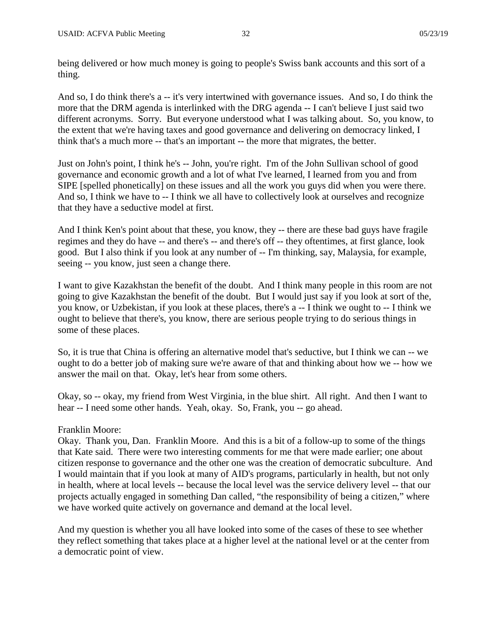being delivered or how much money is going to people's Swiss bank accounts and this sort of a thing.

And so, I do think there's a -- it's very intertwined with governance issues. And so, I do think the more that the DRM agenda is interlinked with the DRG agenda -- I can't believe I just said two different acronyms. Sorry. But everyone understood what I was talking about. So, you know, to the extent that we're having taxes and good governance and delivering on democracy linked, I think that's a much more -- that's an important -- the more that migrates, the better.

Just on John's point, I think he's -- John, you're right. I'm of the John Sullivan school of good governance and economic growth and a lot of what I've learned, I learned from you and from SIPE [spelled phonetically] on these issues and all the work you guys did when you were there. And so, I think we have to -- I think we all have to collectively look at ourselves and recognize that they have a seductive model at first.

And I think Ken's point about that these, you know, they -- there are these bad guys have fragile regimes and they do have -- and there's -- and there's off -- they oftentimes, at first glance, look good. But I also think if you look at any number of -- I'm thinking, say, Malaysia, for example, seeing -- you know, just seen a change there.

I want to give Kazakhstan the benefit of the doubt. And I think many people in this room are not going to give Kazakhstan the benefit of the doubt. But I would just say if you look at sort of the, you know, or Uzbekistan, if you look at these places, there's a -- I think we ought to -- I think we ought to believe that there's, you know, there are serious people trying to do serious things in some of these places.

So, it is true that China is offering an alternative model that's seductive, but I think we can -- we ought to do a better job of making sure we're aware of that and thinking about how we -- how we answer the mail on that. Okay, let's hear from some others.

Okay, so -- okay, my friend from West Virginia, in the blue shirt. All right. And then I want to hear -- I need some other hands. Yeah, okay. So, Frank, you -- go ahead.

# Franklin Moore:

Okay. Thank you, Dan. Franklin Moore. And this is a bit of a follow-up to some of the things that Kate said. There were two interesting comments for me that were made earlier; one about citizen response to governance and the other one was the creation of democratic subculture. And I would maintain that if you look at many of AID's programs, particularly in health, but not only in health, where at local levels -- because the local level was the service delivery level -- that our projects actually engaged in something Dan called, "the responsibility of being a citizen," where we have worked quite actively on governance and demand at the local level.

And my question is whether you all have looked into some of the cases of these to see whether they reflect something that takes place at a higher level at the national level or at the center from a democratic point of view.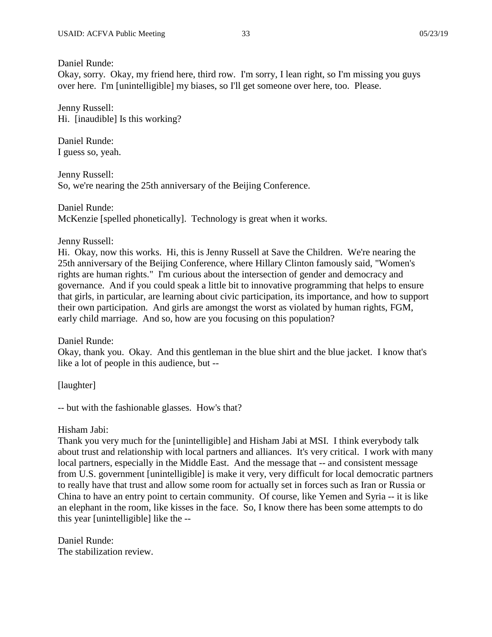Daniel Runde:

Okay, sorry. Okay, my friend here, third row. I'm sorry, I lean right, so I'm missing you guys over here. I'm [unintelligible] my biases, so I'll get someone over here, too. Please.

Jenny Russell: Hi. [inaudible] Is this working?

Daniel Runde: I guess so, yeah.

Jenny Russell: So, we're nearing the 25th anniversary of the Beijing Conference.

Daniel Runde: McKenzie [spelled phonetically]. Technology is great when it works.

Jenny Russell:

Hi. Okay, now this works. Hi, this is Jenny Russell at Save the Children. We're nearing the 25th anniversary of the Beijing Conference, where Hillary Clinton famously said, "Women's rights are human rights." I'm curious about the intersection of gender and democracy and governance. And if you could speak a little bit to innovative programming that helps to ensure that girls, in particular, are learning about civic participation, its importance, and how to support their own participation. And girls are amongst the worst as violated by human rights, FGM, early child marriage. And so, how are you focusing on this population?

Daniel Runde:

Okay, thank you. Okay. And this gentleman in the blue shirt and the blue jacket. I know that's like a lot of people in this audience, but --

[laughter]

-- but with the fashionable glasses. How's that?

Hisham Jabi:

Thank you very much for the [unintelligible] and Hisham Jabi at MSI. I think everybody talk about trust and relationship with local partners and alliances. It's very critical. I work with many local partners, especially in the Middle East. And the message that -- and consistent message from U.S. government [unintelligible] is make it very, very difficult for local democratic partners to really have that trust and allow some room for actually set in forces such as Iran or Russia or China to have an entry point to certain community. Of course, like Yemen and Syria -- it is like an elephant in the room, like kisses in the face. So, I know there has been some attempts to do this year [unintelligible] like the --

Daniel Runde: The stabilization review.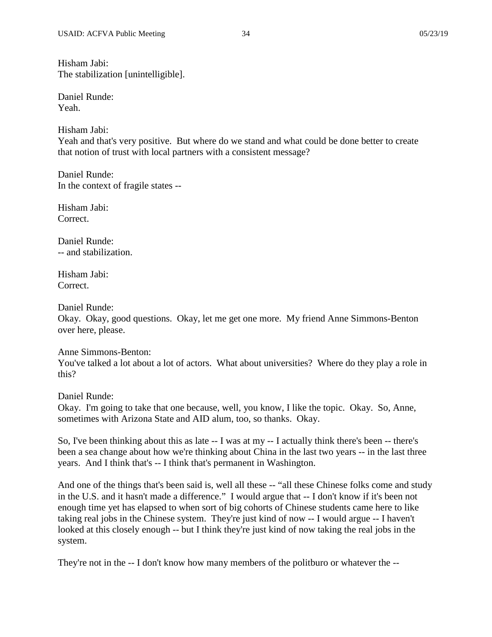Daniel Runde: Yeah.

Hisham Jabi: Yeah and that's very positive. But where do we stand and what could be done better to create that notion of trust with local partners with a consistent message?

Daniel Runde: In the context of fragile states --

Hisham Jabi: Correct.

Daniel Runde: -- and stabilization.

Hisham Jabi: Correct.

Daniel Runde:

Okay. Okay, good questions. Okay, let me get one more. My friend Anne Simmons-Benton over here, please.

# Anne Simmons-Benton:

You've talked a lot about a lot of actors. What about universities? Where do they play a role in this?

Daniel Runde:

Okay. I'm going to take that one because, well, you know, I like the topic. Okay. So, Anne, sometimes with Arizona State and AID alum, too, so thanks. Okay.

So, I've been thinking about this as late -- I was at my -- I actually think there's been -- there's been a sea change about how we're thinking about China in the last two years -- in the last three years. And I think that's -- I think that's permanent in Washington.

And one of the things that's been said is, well all these  $-$  "all these Chinese folks come and study in the U.S. and it hasn't made a difference." I would argue that -- I don't know if it's been not enough time yet has elapsed to when sort of big cohorts of Chinese students came here to like taking real jobs in the Chinese system. They're just kind of now -- I would argue -- I haven't looked at this closely enough -- but I think they're just kind of now taking the real jobs in the system.

They're not in the -- I don't know how many members of the politburo or whatever the --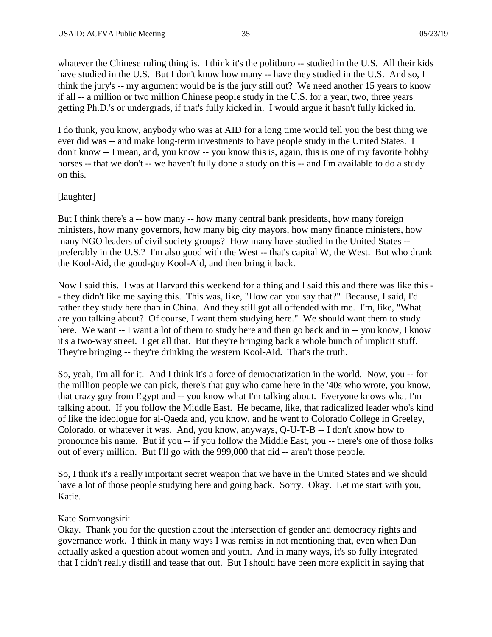whatever the Chinese ruling thing is. I think it's the politburo -- studied in the U.S. All their kids have studied in the U.S. But I don't know how many -- have they studied in the U.S. And so, I think the jury's -- my argument would be is the jury still out? We need another 15 years to know if all -- a million or two million Chinese people study in the U.S. for a year, two, three years getting Ph.D.'s or undergrads, if that's fully kicked in. I would argue it hasn't fully kicked in.

I do think, you know, anybody who was at AID for a long time would tell you the best thing we ever did was -- and make long-term investments to have people study in the United States. I don't know -- I mean, and, you know -- you know this is, again, this is one of my favorite hobby horses -- that we don't -- we haven't fully done a study on this -- and I'm available to do a study on this.

### [laughter]

But I think there's a -- how many -- how many central bank presidents, how many foreign ministers, how many governors, how many big city mayors, how many finance ministers, how many NGO leaders of civil society groups? How many have studied in the United States - preferably in the U.S.? I'm also good with the West -- that's capital W, the West. But who drank the Kool-Aid, the good-guy Kool-Aid, and then bring it back.

Now I said this. I was at Harvard this weekend for a thing and I said this and there was like this - - they didn't like me saying this. This was, like, "How can you say that?" Because, I said, I'd rather they study here than in China. And they still got all offended with me. I'm, like, "What are you talking about? Of course, I want them studying here." We should want them to study here. We want -- I want a lot of them to study here and then go back and in -- you know, I know it's a two-way street. I get all that. But they're bringing back a whole bunch of implicit stuff. They're bringing -- they're drinking the western Kool-Aid. That's the truth.

So, yeah, I'm all for it. And I think it's a force of democratization in the world. Now, you -- for the million people we can pick, there's that guy who came here in the '40s who wrote, you know, that crazy guy from Egypt and -- you know what I'm talking about. Everyone knows what I'm talking about. If you follow the Middle East. He became, like, that radicalized leader who's kind of like the ideologue for al-Qaeda and, you know, and he went to Colorado College in Greeley, Colorado, or whatever it was. And, you know, anyways, Q-U-T-B -- I don't know how to pronounce his name. But if you -- if you follow the Middle East, you -- there's one of those folks out of every million. But I'll go with the 999,000 that did -- aren't those people.

So, I think it's a really important secret weapon that we have in the United States and we should have a lot of those people studying here and going back. Sorry. Okay. Let me start with you, Katie.

#### Kate Somvongsiri:

Okay. Thank you for the question about the intersection of gender and democracy rights and governance work. I think in many ways I was remiss in not mentioning that, even when Dan actually asked a question about women and youth. And in many ways, it's so fully integrated that I didn't really distill and tease that out. But I should have been more explicit in saying that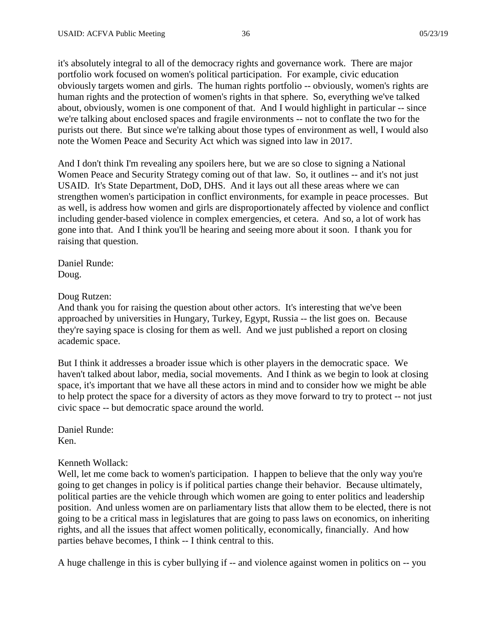it's absolutely integral to all of the democracy rights and governance work. There are major portfolio work focused on women's political participation. For example, civic education obviously targets women and girls. The human rights portfolio -- obviously, women's rights are human rights and the protection of women's rights in that sphere. So, everything we've talked about, obviously, women is one component of that. And I would highlight in particular -- since we're talking about enclosed spaces and fragile environments -- not to conflate the two for the purists out there. But since we're talking about those types of environment as well, I would also note the Women Peace and Security Act which was signed into law in 2017.

And I don't think I'm revealing any spoilers here, but we are so close to signing a National Women Peace and Security Strategy coming out of that law. So, it outlines -- and it's not just USAID. It's State Department, DoD, DHS. And it lays out all these areas where we can strengthen women's participation in conflict environments, for example in peace processes. But as well, is address how women and girls are disproportionately affected by violence and conflict including gender-based violence in complex emergencies, et cetera. And so, a lot of work has gone into that. And I think you'll be hearing and seeing more about it soon. I thank you for raising that question.

Daniel Runde: Doug.

#### Doug Rutzen:

And thank you for raising the question about other actors. It's interesting that we've been approached by universities in Hungary, Turkey, Egypt, Russia -- the list goes on. Because they're saying space is closing for them as well. And we just published a report on closing academic space.

But I think it addresses a broader issue which is other players in the democratic space. We haven't talked about labor, media, social movements. And I think as we begin to look at closing space, it's important that we have all these actors in mind and to consider how we might be able to help protect the space for a diversity of actors as they move forward to try to protect -- not just civic space -- but democratic space around the world.

Daniel Runde: Ken.

### Kenneth Wollack:

Well, let me come back to women's participation. I happen to believe that the only way you're going to get changes in policy is if political parties change their behavior. Because ultimately, political parties are the vehicle through which women are going to enter politics and leadership position. And unless women are on parliamentary lists that allow them to be elected, there is not going to be a critical mass in legislatures that are going to pass laws on economics, on inheriting rights, and all the issues that affect women politically, economically, financially. And how parties behave becomes, I think -- I think central to this.

A huge challenge in this is cyber bullying if -- and violence against women in politics on -- you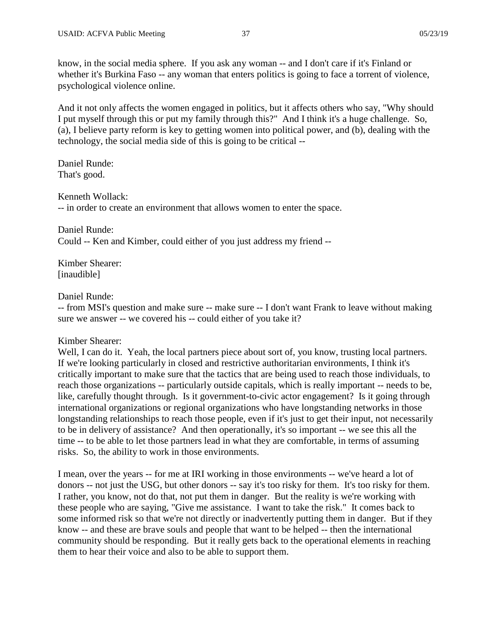know, in the social media sphere. If you ask any woman -- and I don't care if it's Finland or whether it's Burkina Faso -- any woman that enters politics is going to face a torrent of violence, psychological violence online.

And it not only affects the women engaged in politics, but it affects others who say, "Why should I put myself through this or put my family through this?" And I think it's a huge challenge. So, (a), I believe party reform is key to getting women into political power, and (b), dealing with the technology, the social media side of this is going to be critical --

Daniel Runde: That's good.

Kenneth Wollack:

-- in order to create an environment that allows women to enter the space.

Daniel Runde: Could -- Ken and Kimber, could either of you just address my friend --

Kimber Shearer: [inaudible]

## Daniel Runde:

-- from MSI's question and make sure -- make sure -- I don't want Frank to leave without making sure we answer -- we covered his -- could either of you take it?

### Kimber Shearer:

Well, I can do it. Yeah, the local partners piece about sort of, you know, trusting local partners. If we're looking particularly in closed and restrictive authoritarian environments, I think it's critically important to make sure that the tactics that are being used to reach those individuals, to reach those organizations -- particularly outside capitals, which is really important -- needs to be, like, carefully thought through. Is it government-to-civic actor engagement? Is it going through international organizations or regional organizations who have longstanding networks in those longstanding relationships to reach those people, even if it's just to get their input, not necessarily to be in delivery of assistance? And then operationally, it's so important -- we see this all the time -- to be able to let those partners lead in what they are comfortable, in terms of assuming risks. So, the ability to work in those environments.

I mean, over the years -- for me at IRI working in those environments -- we've heard a lot of donors -- not just the USG, but other donors -- say it's too risky for them. It's too risky for them. I rather, you know, not do that, not put them in danger. But the reality is we're working with these people who are saying, "Give me assistance. I want to take the risk." It comes back to some informed risk so that we're not directly or inadvertently putting them in danger. But if they know -- and these are brave souls and people that want to be helped -- then the international community should be responding. But it really gets back to the operational elements in reaching them to hear their voice and also to be able to support them.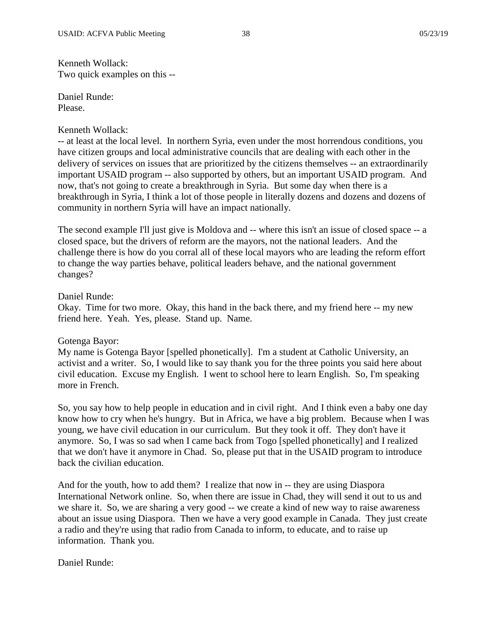Kenneth Wollack: Two quick examples on this --

Daniel Runde: Please.

### Kenneth Wollack:

-- at least at the local level. In northern Syria, even under the most horrendous conditions, you have citizen groups and local administrative councils that are dealing with each other in the delivery of services on issues that are prioritized by the citizens themselves -- an extraordinarily important USAID program -- also supported by others, but an important USAID program. And now, that's not going to create a breakthrough in Syria. But some day when there is a breakthrough in Syria, I think a lot of those people in literally dozens and dozens and dozens of community in northern Syria will have an impact nationally.

The second example I'll just give is Moldova and -- where this isn't an issue of closed space -- a closed space, but the drivers of reform are the mayors, not the national leaders. And the challenge there is how do you corral all of these local mayors who are leading the reform effort to change the way parties behave, political leaders behave, and the national government changes?

## Daniel Runde:

Okay. Time for two more. Okay, this hand in the back there, and my friend here -- my new friend here. Yeah. Yes, please. Stand up. Name.

# Gotenga Bayor:

My name is Gotenga Bayor [spelled phonetically]. I'm a student at Catholic University, an activist and a writer. So, I would like to say thank you for the three points you said here about civil education. Excuse my English. I went to school here to learn English. So, I'm speaking more in French.

So, you say how to help people in education and in civil right. And I think even a baby one day know how to cry when he's hungry. But in Africa, we have a big problem. Because when I was young, we have civil education in our curriculum. But they took it off. They don't have it anymore. So, I was so sad when I came back from Togo [spelled phonetically] and I realized that we don't have it anymore in Chad. So, please put that in the USAID program to introduce back the civilian education.

And for the youth, how to add them? I realize that now in -- they are using Diaspora International Network online. So, when there are issue in Chad, they will send it out to us and we share it. So, we are sharing a very good -- we create a kind of new way to raise awareness about an issue using Diaspora. Then we have a very good example in Canada. They just create a radio and they're using that radio from Canada to inform, to educate, and to raise up information. Thank you.

Daniel Runde: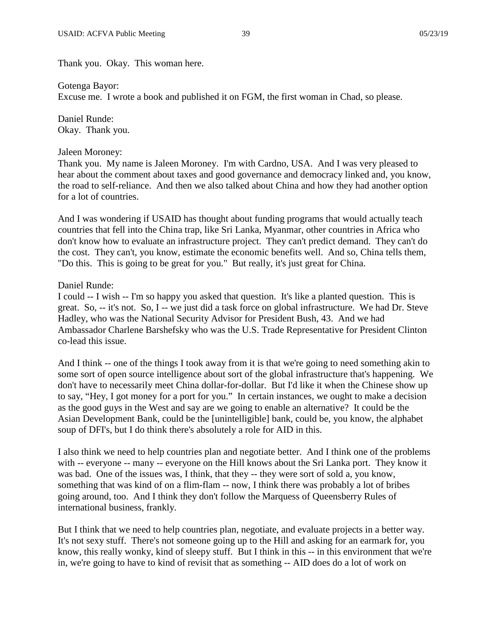Thank you. Okay. This woman here.

Gotenga Bayor:

Excuse me. I wrote a book and published it on FGM, the first woman in Chad, so please.

Daniel Runde: Okay. Thank you.

Jaleen Moroney:

Thank you. My name is Jaleen Moroney. I'm with Cardno, USA. And I was very pleased to hear about the comment about taxes and good governance and democracy linked and, you know, the road to self-reliance. And then we also talked about China and how they had another option for a lot of countries.

And I was wondering if USAID has thought about funding programs that would actually teach countries that fell into the China trap, like Sri Lanka, Myanmar, other countries in Africa who don't know how to evaluate an infrastructure project. They can't predict demand. They can't do the cost. They can't, you know, estimate the economic benefits well. And so, China tells them, "Do this. This is going to be great for you." But really, it's just great for China.

## Daniel Runde:

I could -- I wish -- I'm so happy you asked that question. It's like a planted question. This is great. So, -- it's not. So, I -- we just did a task force on global infrastructure. We had Dr. Steve Hadley, who was the National Security Advisor for President Bush, 43. And we had Ambassador Charlene Barshefsky who was the U.S. Trade Representative for President Clinton co-lead this issue.

And I think -- one of the things I took away from it is that we're going to need something akin to some sort of open source intelligence about sort of the global infrastructure that's happening. We don't have to necessarily meet China dollar-for-dollar. But I'd like it when the Chinese show up to say, "Hey, I got money for a port for you." In certain instances, we ought to make a decision as the good guys in the West and say are we going to enable an alternative? It could be the Asian Development Bank, could be the [unintelligible] bank, could be, you know, the alphabet soup of DFI's, but I do think there's absolutely a role for AID in this.

I also think we need to help countries plan and negotiate better. And I think one of the problems with -- everyone -- many -- everyone on the Hill knows about the Sri Lanka port. They know it was bad. One of the issues was, I think, that they -- they were sort of sold a, you know, something that was kind of on a flim-flam -- now, I think there was probably a lot of bribes going around, too. And I think they don't follow the Marquess of Queensberry Rules of international business, frankly.

But I think that we need to help countries plan, negotiate, and evaluate projects in a better way. It's not sexy stuff. There's not someone going up to the Hill and asking for an earmark for, you know, this really wonky, kind of sleepy stuff. But I think in this -- in this environment that we're in, we're going to have to kind of revisit that as something -- AID does do a lot of work on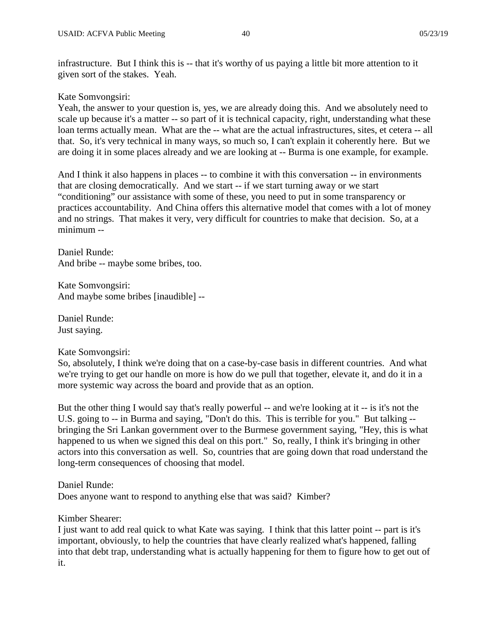infrastructure. But I think this is -- that it's worthy of us paying a little bit more attention to it given sort of the stakes. Yeah.

# Kate Somvongsiri:

Yeah, the answer to your question is, yes, we are already doing this. And we absolutely need to scale up because it's a matter -- so part of it is technical capacity, right, understanding what these loan terms actually mean. What are the -- what are the actual infrastructures, sites, et cetera -- all that. So, it's very technical in many ways, so much so, I can't explain it coherently here. But we are doing it in some places already and we are looking at -- Burma is one example, for example.

And I think it also happens in places -- to combine it with this conversation -- in environments that are closing democratically. And we start -- if we start turning away or we start "conditioning" our assistance with some of these, you need to put in some transparency or practices accountability. And China offers this alternative model that comes with a lot of money and no strings. That makes it very, very difficult for countries to make that decision. So, at a minimum --

Daniel Runde: And bribe -- maybe some bribes, too.

Kate Somvongsiri: And maybe some bribes [inaudible] --

Daniel Runde: Just saying.

# Kate Somvongsiri:

So, absolutely, I think we're doing that on a case-by-case basis in different countries. And what we're trying to get our handle on more is how do we pull that together, elevate it, and do it in a more systemic way across the board and provide that as an option.

But the other thing I would say that's really powerful -- and we're looking at it -- is it's not the U.S. going to -- in Burma and saying, "Don't do this. This is terrible for you." But talking - bringing the Sri Lankan government over to the Burmese government saying, "Hey, this is what happened to us when we signed this deal on this port." So, really, I think it's bringing in other actors into this conversation as well. So, countries that are going down that road understand the long-term consequences of choosing that model.

Daniel Runde:

Does anyone want to respond to anything else that was said? Kimber?

# Kimber Shearer:

I just want to add real quick to what Kate was saying. I think that this latter point -- part is it's important, obviously, to help the countries that have clearly realized what's happened, falling into that debt trap, understanding what is actually happening for them to figure how to get out of it.